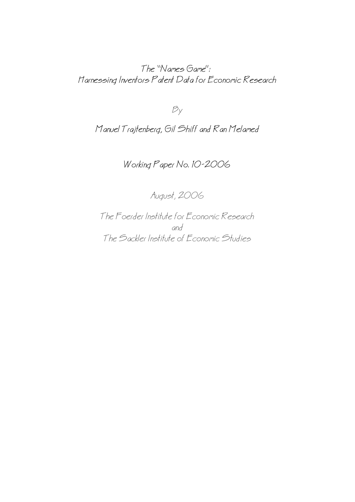The "Names Game": Harnessing Inventors Patent Data for Economic Research

 $B_y$ 

Manuel Trajtenberg, Gil Shiff and Ran Melamed

Working Paper No. 10−2006

August, 2006

The Foerder Institute for Economic Research and The Sackler Institute of Economic Studies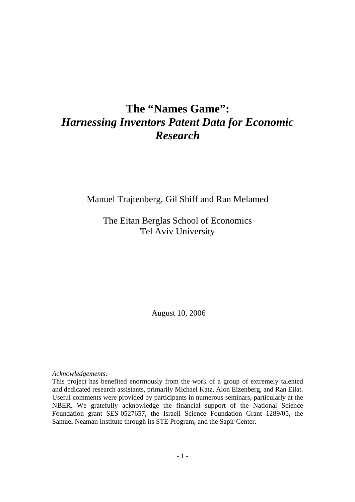# **The "Names Game":**  *Harnessing Inventors Patent Data for Economic Research*

Manuel Trajtenberg, Gil Shiff and Ran Melamed

The Eitan Berglas School of Economics Tel Aviv University

August 10, 2006

*Acknowledgements:* 

This project has benefited enormously from the work of a group of extremely talented and dedicated research assistants, primarily Michael Katz, Alon Eizenberg, and Ran Eilat. Useful comments were provided by participants in numerous seminars, particularly at the NBER. We gratefully acknowledge the financial support of the National Science Foundation grant SES-0527657, the Israeli Science Foundation Grant 1289/05, the Samuel Neaman Institute through its STE Program, and the Sapir Center.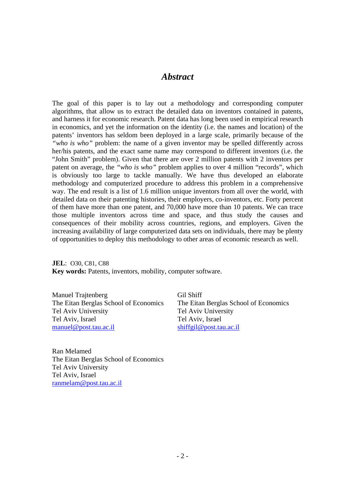## *Abstract*

The goal of this paper is to lay out a methodology and corresponding computer algorithms, that allow us to extract the detailed data on inventors contained in patents, and harness it for economic research. Patent data has long been used in empirical research in economics, and yet the information on the identity (i.e. the names and location) of the patents' inventors has seldom been deployed in a large scale, primarily because of the *"who is who"* problem: the name of a given inventor may be spelled differently across her/his patents, and the exact same name may correspond to different inventors (i.e. the "John Smith" problem). Given that there are over 2 million patents with 2 inventors per patent on average, the *"who is who"* problem applies to over 4 million "records", which is obviously too large to tackle manually. We have thus developed an elaborate methodology and computerized procedure to address this problem in a comprehensive way. The end result is a list of 1.6 million unique inventors from all over the world, with detailed data on their patenting histories, their employers, co-inventors, etc. Forty percent of them have more than one patent, and 70,000 have more than 10 patents. We can trace those multiple inventors across time and space, and thus study the causes and consequences of their mobility across countries, regions, and employers. Given the increasing availability of large computerized data sets on individuals, there may be plenty of opportunities to deploy this methodology to other areas of economic research as well.

**JEL**: O30, C81, C88 **Key words:** Patents, inventors, mobility, computer software.

Manuel Trajtenberg Gil Shiff The Eitan Berglas School of Economics The Eitan Berglas School of Economics Tel Aviv University Tel Aviv University Tel Aviv, Israel Tel Aviv, Israel manuel@post.tau.ac.il shiffgil@post.tau.ac.il

Ran Melamed The Eitan Berglas School of Economics Tel Aviv University Tel Aviv, Israel ranmelam@post.tau.ac.il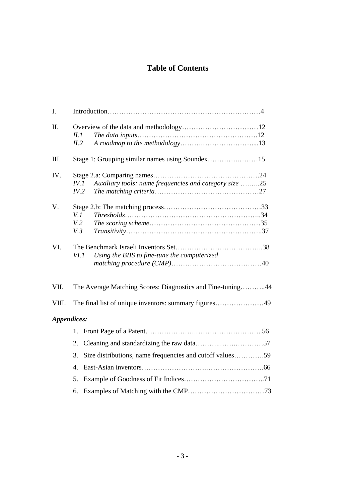## **Table of Contents**

| I.          |                                                                        |
|-------------|------------------------------------------------------------------------|
| Π.          | <i>II.1</i><br>II.2                                                    |
| III.        | Stage 1: Grouping similar names using Soundex15                        |
| IV.         | Auxiliary tools: name frequencies and category size 25<br>IV.1<br>IV.2 |
| V.          | V.1<br>V.2<br>V.3                                                      |
| VI.         | VI.1<br>Using the BIIS to fine-tune the computerized                   |
| VII.        | The Average Matching Scores: Diagnostics and Fine-tuning44             |
| VIII.       | The final list of unique inventors: summary figures49                  |
| Appendices: |                                                                        |
|             | 1.                                                                     |
|             | 2.                                                                     |
|             | Size distributions, name frequencies and cutoff values59<br>3.         |
|             | $\mathbf{4}_{\cdot}$                                                   |
|             | 5.                                                                     |
|             | 6.                                                                     |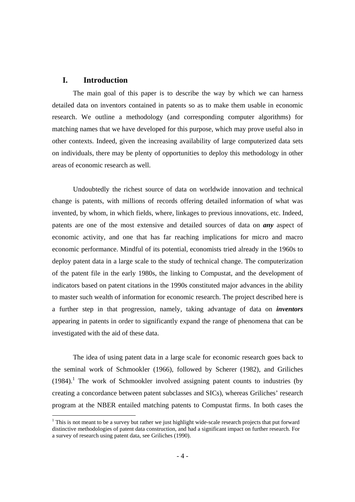## **I. Introduction**

The main goal of this paper is to describe the way by which we can harness detailed data on inventors contained in patents so as to make them usable in economic research. We outline a methodology (and corresponding computer algorithms) for matching names that we have developed for this purpose, which may prove useful also in other contexts. Indeed, given the increasing availability of large computerized data sets on individuals, there may be plenty of opportunities to deploy this methodology in other areas of economic research as well.

Undoubtedly the richest source of data on worldwide innovation and technical change is patents, with millions of records offering detailed information of what was invented, by whom, in which fields, where, linkages to previous innovations, etc. Indeed, patents are one of the most extensive and detailed sources of data on *any* aspect of economic activity, and one that has far reaching implications for micro and macro economic performance. Mindful of its potential, economists tried already in the 1960s to deploy patent data in a large scale to the study of technical change. The computerization of the patent file in the early 1980s, the linking to Compustat, and the development of indicators based on patent citations in the 1990s constituted major advances in the ability to master such wealth of information for economic research. The project described here is a further step in that progression, namely, taking advantage of data on *inventors* appearing in patents in order to significantly expand the range of phenomena that can be investigated with the aid of these data.

The idea of using patent data in a large scale for economic research goes back to the seminal work of Schmookler (1966), followed by Scherer (1982), and Griliches  $(1984)$ .<sup>1</sup> The work of Schmookler involved assigning patent counts to industries (by creating a concordance between patent subclasses and SICs), whereas Griliches' research program at the NBER entailed matching patents to Compustat firms. In both cases the

 $1$  This is not meant to be a survey but rather we just highlight wide-scale research projects that put forward distinctive methodologies of patent data construction, and had a significant impact on further research. For a survey of research using patent data, see Griliches (1990).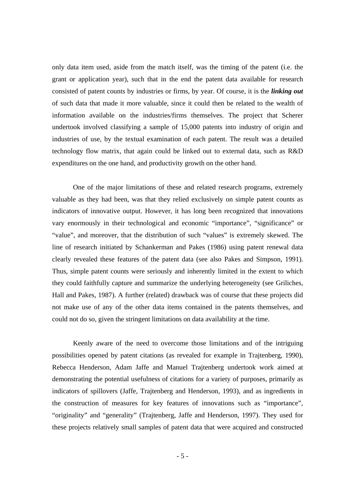only data item used, aside from the match itself, was the timing of the patent (i.e. the grant or application year), such that in the end the patent data available for research consisted of patent counts by industries or firms, by year. Of course, it is the *linking out* of such data that made it more valuable, since it could then be related to the wealth of information available on the industries/firms themselves. The project that Scherer undertook involved classifying a sample of 15,000 patents into industry of origin and industries of use, by the textual examination of each patent. The result was a detailed technology flow matrix, that again could be linked out to external data, such as R&D expenditures on the one hand, and productivity growth on the other hand.

One of the major limitations of these and related research programs, extremely valuable as they had been, was that they relied exclusively on simple patent counts as indicators of innovative output. However, it has long been recognized that innovations vary enormously in their technological and economic "importance", "significance" or "value", and moreover, that the distribution of such "values" is extremely skewed. The line of research initiated by Schankerman and Pakes (1986) using patent renewal data clearly revealed these features of the patent data (see also Pakes and Simpson, 1991). Thus, simple patent counts were seriously and inherently limited in the extent to which they could faithfully capture and summarize the underlying heterogeneity (see Griliches, Hall and Pakes, 1987). A further (related) drawback was of course that these projects did not make use of any of the other data items contained in the patents themselves, and could not do so, given the stringent limitations on data availability at the time.

Keenly aware of the need to overcome those limitations and of the intriguing possibilities opened by patent citations (as revealed for example in Trajtenberg, 1990), Rebecca Henderson, Adam Jaffe and Manuel Trajtenberg undertook work aimed at demonstrating the potential usefulness of citations for a variety of purposes, primarily as indicators of spillovers (Jaffe, Trajtenberg and Henderson, 1993), and as ingredients in the construction of measures for key features of innovations such as "importance", "originality" and "generality" (Trajtenberg, Jaffe and Henderson, 1997). They used for these projects relatively small samples of patent data that were acquired and constructed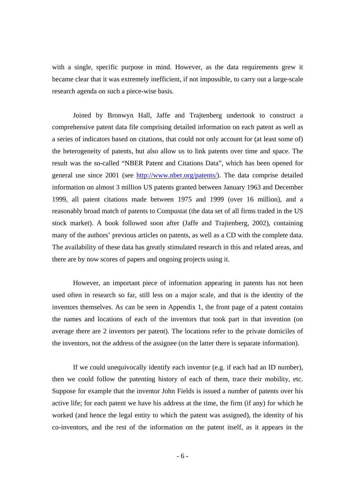with a single, specific purpose in mind. However, as the data requirements grew it became clear that it was extremely inefficient, if not impossible, to carry out a large-scale research agenda on such a piece-wise basis.

Joined by Bronwyn Hall, Jaffe and Trajtenberg undertook to construct a comprehensive patent data file comprising detailed information on each patent as well as a series of indicators based on citations, that could not only account for (at least some of) the heterogeneity of patents, but also allow us to link patents over time and space. The result was the so-called "NBER Patent and Citations Data", which has been opened for general use since 2001 (see http://www.nber.org/patents/). The data comprise detailed information on almost 3 million US patents granted between January 1963 and December 1999, all patent citations made between 1975 and 1999 (over 16 million), and a reasonably broad match of patents to Compustat (the data set of all firms traded in the US stock market). A book followed soon after (Jaffe and Trajtenberg, 2002), containing many of the authors' previous articles on patents, as well as a CD with the complete data. The availability of these data has greatly stimulated research in this and related areas, and there are by now scores of papers and ongoing projects using it.

However, an important piece of information appearing in patents has not been used often in research so far, still less on a major scale, and that is the identity of the inventors themselves. As can be seen in Appendix 1, the front page of a patent contains the names and locations of each of the inventors that took part in that invention (on average there are 2 inventors per patent). The locations refer to the private domiciles of the inventors, not the address of the assignee (on the latter there is separate information).

If we could unequivocally identify each inventor (e.g. if each had an ID number), then we could follow the patenting history of each of them, trace their mobility, etc. Suppose for example that the inventor John Fields is issued a number of patents over his active life; for each patent we have his address at the time, the firm (if any) for which he worked (and hence the legal entity to which the patent was assigned), the identity of his co-inventors, and the rest of the information on the patent itself, as it appears in the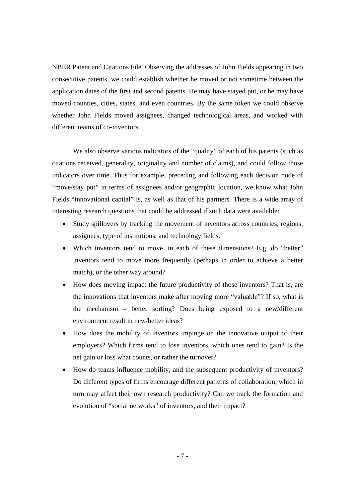NBER Patent and Citations File. Observing the addresses of John Fields appearing in two consecutive patents, we could establish whether he moved or not sometime between the application dates of the first and second patents. He may have stayed put, or he may have moved counties, cities, states, and even countries. By the same token we could observe whether John Fields moved assignees, changed technological areas, and worked with different teams of co-inventors.

We also observe various indicators of the "quality" of each of his patents (such as citations received, generality, originality and number of claims), and could follow those indicators over time. Thus for example, preceding and following each decision node of "move/stay put" in terms of assignees and/or geographic location, we know what John Fields "innovational capital" is, as well as that of his partners. There is a wide array of interesting research questions that could be addressed if such data were available:

- Study spillovers by tracking the movement of inventors across countries, regions, assignees, type of institutions, and technology fields.
- Which inventors tend to move, in each of these dimensions? E.g. do "better" inventors tend to move more frequently (perhaps in order to achieve a better match), or the other way around?
- How does moving impact the future productivity of those inventors? That is, are the innovations that inventors make after moving more "valuable"? If so, what is the mechanism – better sorting? Does being exposed to a new/different environment result in new/better ideas?
- How does the mobility of inventors impinge on the innovative output of their employers? Which firms tend to lose inventors, which ones tend to gain? Is the net gain or loss what counts, or rather the turnover?
- How do teams influence mobility, and the subsequent productivity of inventors? Do different types of firms encourage different patterns of collaboration, which in turn may affect their own research productivity? Can we track the formation and evolution of "social networks" of inventors, and their impact?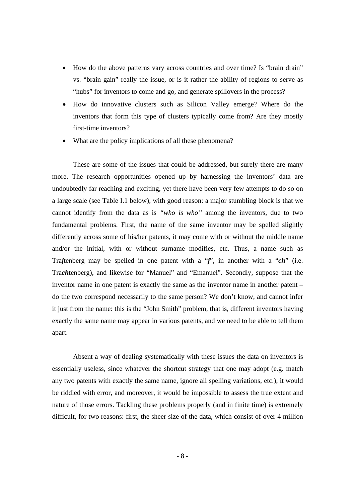- How do the above patterns vary across countries and over time? Is "brain drain" vs. "brain gain" really the issue, or is it rather the ability of regions to serve as "hubs" for inventors to come and go, and generate spillovers in the process?
- How do innovative clusters such as Silicon Valley emerge? Where do the inventors that form this type of clusters typically come from? Are they mostly first-time inventors?
- What are the policy implications of all these phenomena?

These are some of the issues that could be addressed, but surely there are many more. The research opportunities opened up by harnessing the inventors' data are undoubtedly far reaching and exciting, yet there have been very few attempts to do so on a large scale (see Table I.1 below), with good reason: a major stumbling block is that we cannot identify from the data as is *"who is who"* among the inventors, due to two fundamental problems. First, the name of the same inventor may be spelled slightly differently across some of his/her patents, it may come with or without the middle name and/or the initial, with or without surname modifies, etc. Thus, a name such as Tra*j*tenberg may be spelled in one patent with a "*j*", in another with a "*ch*" (i.e. Tra*ch*tenberg), and likewise for "Manuel" and "Emanuel". Secondly, suppose that the inventor name in one patent is exactly the same as the inventor name in another patent – do the two correspond necessarily to the same person? We don't know, and cannot infer it just from the name: this is the "John Smith" problem, that is, different inventors having exactly the same name may appear in various patents, and we need to be able to tell them apart.

 Absent a way of dealing systematically with these issues the data on inventors is essentially useless, since whatever the shortcut strategy that one may adopt (e.g. match any two patents with exactly the same name, ignore all spelling variations, etc.), it would be riddled with error, and moreover, it would be impossible to assess the true extent and nature of those errors. Tackling these problems properly (and in finite time) is extremely difficult, for two reasons: first, the sheer size of the data, which consist of over 4 million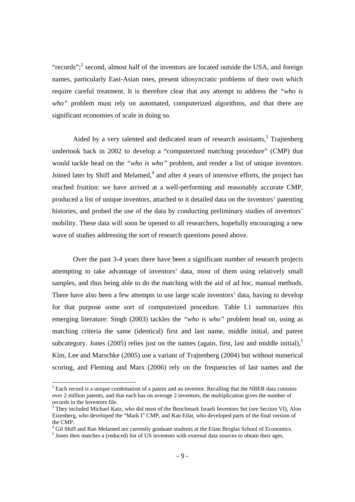"records"; $^2$  second, almost half of the inventors are located outside the USA, and foreign names, particularly East-Asian ones, present idiosyncratic problems of their own which require careful treatment. It is therefore clear that any attempt to address the *"who is*  who" problem must rely on automated, computerized algorithms, and that there are significant economies of scale in doing so.

Aided by a very talented and dedicated team of research assistants,<sup>3</sup> Trajtenberg undertook back in 2002 to develop a "computerized matching procedure" (CMP) that would tackle head on the *"who is who"* problem, and render a list of unique inventors. Joined later by Shiff and Melamed, $<sup>4</sup>$  and after 4 years of intensive efforts, the project has</sup> reached fruition: we have arrived at a well-performing and reasonably accurate CMP, produced a list of unique inventors, attached to it detailed data on the inventors' patenting histories, and probed the use of the data by conducting preliminary studies of inventors' mobility. These data will soon be opened to all researchers, hopefully encouraging a new wave of studies addressing the sort of research questions posed above.

Over the past 3-4 years there have been a significant number of research projects attempting to take advantage of inventors' data, most of them using relatively small samples, and thus being able to do the matching with the aid of ad hoc, manual methods. There have also been a few attempts to use large scale inventors' data, having to develop for that purpose some sort of computerized procedure. Table I.1 summarizes this emerging literature: Singh (2003) tackles the *"who is who"* problem head on, using as matching criteria the same (identical) first and last name, middle initial, and patent subcategory. Jones (2005) relies just on the names (again, first, last and middle initial), $\frac{5}{3}$ Kim, Lee and Marschke (2005) use a variant of Trajtenberg (2004) but without numerical scoring, and Fleming and Marx (2006) rely on the frequencies of last names and the

 $2^{2}$  Each record is a unique combination of a patent and an inventor. Recalling that the NBER data contains over 2 million patents, and that each has on average 2 inventors, the multiplication gives the number of records in the Inventors file.

<sup>&</sup>lt;sup>3</sup> They included Michael Katz, who did most of the Benchmark Israeli Inventors Set (see Section VI), Alon Eizenberg, who developed the "Mark I" CMP, and Ran Eilat, who developed parts of the final version of the CMP.

<sup>&</sup>lt;sup>4</sup> Gil Shiff and Ran Melamed are currently graduate students at the Eitan Berglas School of Economics.

<sup>&</sup>lt;sup>5</sup> Jones then matches a (reduced) list of US inventors with external data sources to obtain their ages.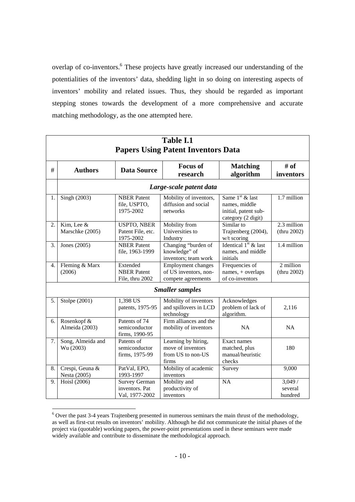overlap of co-inventors.<sup>6</sup> These projects have greatly increased our understanding of the potentialities of the inventors' data, shedding light in so doing on interesting aspects of inventors' mobility and related issues. Thus, they should be regarded as important stepping stones towards the development of a more comprehensive and accurate matching methodology, as the one attempted here.

| <b>Table I.1</b><br><b>Papers Using Patent Inventors Data</b> |                                 |                                                          |                                                                        |                                                                                  |                              |
|---------------------------------------------------------------|---------------------------------|----------------------------------------------------------|------------------------------------------------------------------------|----------------------------------------------------------------------------------|------------------------------|
| #                                                             | <b>Authors</b>                  | <b>Data Source</b>                                       | <b>Focus of</b><br>research                                            | <b>Matching</b><br>algorithm                                                     | # of<br>inventors            |
|                                                               |                                 |                                                          | Large-scale patent data                                                |                                                                                  |                              |
| 1.                                                            | Singh (2003)                    | <b>NBER</b> Patent<br>file, USPTO,<br>1975-2002          | Mobility of inventors,<br>diffusion and social<br>networks             | Same $1st$ & last<br>names, middle<br>initial, patent sub-<br>category (2 digit) | 1.7 million                  |
| 2.                                                            | Kim, Lee &<br>Marschke (2005)   | <b>USPTO, NBER</b><br>Patent File, etc.<br>1975-2002     | Mobility from<br>Universities to<br>Industry                           | Similar to<br>Trajtenberg (2004),<br>$w/t$ scoring                               | 2.3 million<br>(thru 2002)   |
| 3.                                                            | Jones (2005)                    | <b>NBER</b> Patent<br>file, 1963-1999                    | Changing "burden of<br>knowledge" of<br>inventors; team work           | Identical $1st$ & last<br>names, and middle<br>initials                          | 1.4 million                  |
| 4.                                                            | Fleming & Marx<br>(2006)        | Extended<br><b>NBER</b> Patent<br>File, thru 2002        | Employment changes<br>of US inventors, non-<br>compete agreements      | Frequencies of<br>names, + overlaps<br>of co-inventors                           | 2 million<br>(thru 2002)     |
|                                                               |                                 |                                                          | <b>Smaller samples</b>                                                 |                                                                                  |                              |
| 5.                                                            | Stolpe (2001)                   | 1,398 US<br>patents, 1975-95                             | Mobility of inventors<br>and spillovers in LCD<br>technology           | Acknowledges<br>problem of lack of<br>algorithm.                                 | 2,116                        |
| 6.                                                            | Rosenkopf &<br>Almeida (2003)   | Patents of 74<br>semiconductor<br>firms, 1990-95         | Firm alliances and the<br>mobility of inventors                        | <b>NA</b>                                                                        | NA                           |
| 7.                                                            | Song, Almeida and<br>Wu (2003)  | Patents of<br>semiconductor<br>firms, 1975-99            | Learning by hiring,<br>move of inventors<br>from US to non-US<br>firms | Exact names<br>matched, plus<br>manual/heuristic<br>checks                       | 180                          |
| 8.                                                            | Crespi, Geuna &<br>Nesta (2005) | PatVal, EPO,<br>1993-1997                                | Mobility of academic<br>inventors                                      | Survey                                                                           | 9,000                        |
| 9.                                                            | Hoisl (2006)                    | <b>Survey German</b><br>inventors. Pat<br>Val, 1977-2002 | Mobility and<br>productivity of<br>inventors                           | NA                                                                               | 3,049/<br>several<br>hundred |

<sup>&</sup>lt;sup>6</sup> Over the past 3-4 years Trajtenberg presented in numerous seminars the main thrust of the methodology, as well as first-cut results on inventors' mobility. Although he did not communicate the initial phases of the project via (quotable) working papers, the power-point presentations used in these seminars were made widely available and contribute to disseminate the methodological approach.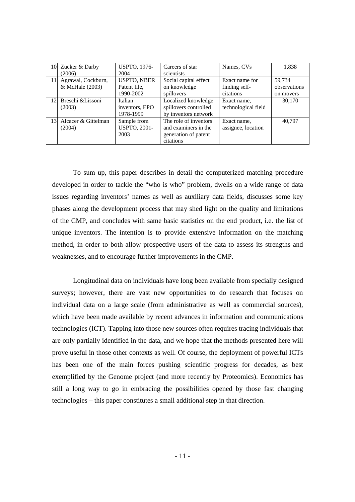|     | 10. Zucker & Darby  | <b>USPTO, 1976-</b> | Careers of star       | Names, CVs          | 1,838        |
|-----|---------------------|---------------------|-----------------------|---------------------|--------------|
|     | (2006)              | 2004                | scientists            |                     |              |
| 11. | Agrawal, Cockburn,  | <b>USPTO, NBER</b>  | Social capital effect | Exact name for      | 59.734       |
|     | & McHale (2003)     | Patent file,        | on knowledge          | finding self-       | observations |
|     |                     | 1990-2002           | spillovers            | citations           | on movers    |
| 12. | Breschi &Lissoni    | Italian             | Localized knowledge   | Exact name.         | 30.170       |
|     | (2003)              | inventors, EPO      | spillovers controlled | technological field |              |
|     |                     | 1978-1999           | by inventors network  |                     |              |
| 13. | Alcacer & Gittelman | Sample from         | The role of inventors | Exact name,         | 40.797       |
|     | (2004)              | <b>USPTO, 2001-</b> | and examiners in the  | assignee, location  |              |
|     |                     | 2003                | generation of patent  |                     |              |
|     |                     |                     | citations             |                     |              |

To sum up, this paper describes in detail the computerized matching procedure developed in order to tackle the "who is who" problem, dwells on a wide range of data issues regarding inventors' names as well as auxiliary data fields, discusses some key phases along the development process that may shed light on the quality and limitations of the CMP, and concludes with same basic statistics on the end product, i.e. the list of unique inventors. The intention is to provide extensive information on the matching method, in order to both allow prospective users of the data to assess its strengths and weaknesses, and to encourage further improvements in the CMP.

Longitudinal data on individuals have long been available from specially designed surveys; however, there are vast new opportunities to do research that focuses on individual data on a large scale (from administrative as well as commercial sources), which have been made available by recent advances in information and communications technologies (ICT). Tapping into those new sources often requires tracing individuals that are only partially identified in the data, and we hope that the methods presented here will prove useful in those other contexts as well. Of course, the deployment of powerful ICTs has been one of the main forces pushing scientific progress for decades, as best exemplified by the Genome project (and more recently by Proteomics). Economics has still a long way to go in embracing the possibilities opened by those fast changing technologies – this paper constitutes a small additional step in that direction.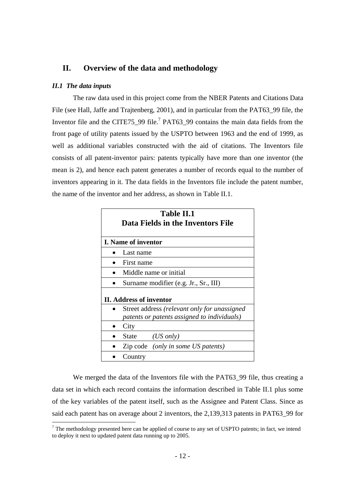## **II. Overview of the data and methodology**

#### *II.1 The data inputs*

The raw data used in this project come from the NBER Patents and Citations Data File (see Hall, Jaffe and Trajtenberg, 2001), and in particular from the PAT63\_99 file, the Inventor file and the CITE75\_99 file.<sup>7</sup> PAT63\_99 contains the main data fields from the front page of utility patents issued by the USPTO between 1963 and the end of 1999, as well as additional variables constructed with the aid of citations. The Inventors file consists of all patent-inventor pairs: patents typically have more than one inventor (the mean is 2), and hence each patent generates a number of records equal to the number of inventors appearing in it. The data fields in the Inventors file include the patent number, the name of the inventor and her address, as shown in Table II.1.

| <b>Table II.1</b><br>Data Fields in the Inventors File |                                                                                             |  |
|--------------------------------------------------------|---------------------------------------------------------------------------------------------|--|
|                                                        | <b>I.</b> Name of inventor                                                                  |  |
|                                                        | Last name                                                                                   |  |
|                                                        | First name                                                                                  |  |
|                                                        | Middle name or initial                                                                      |  |
|                                                        | Surname modifier (e.g. Jr., Sr., III)                                                       |  |
|                                                        | II. Address of inventor                                                                     |  |
|                                                        | Street address (relevant only for unassigned<br>patents or patents assigned to individuals) |  |
|                                                        | City                                                                                        |  |
|                                                        | $(US \text{ only})$<br><b>State</b>                                                         |  |
|                                                        | Zip code <i>(only in some US patents)</i>                                                   |  |
|                                                        | Country                                                                                     |  |

We merged the data of the Inventors file with the PAT63\_99 file, thus creating a data set in which each record contains the information described in Table II.1 plus some of the key variables of the patent itself, such as the Assignee and Patent Class. Since as said each patent has on average about 2 inventors, the 2,139,313 patents in PAT63\_99 for

<sup>&</sup>lt;sup>7</sup> The methodology presented here can be applied of course to any set of USPTO patents; in fact, we intend to deploy it next to updated patent data running up to 2005.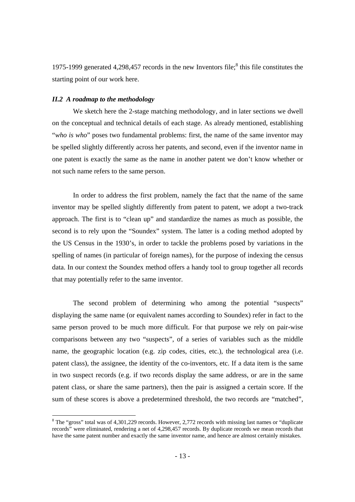1975-1999 generated 4,298,457 records in the new Inventors file; $^8$  this file constitutes the starting point of our work here.

#### *II.2 A roadmap to the methodology*

We sketch here the 2-stage matching methodology, and in later sections we dwell on the conceptual and technical details of each stage. As already mentioned, establishing "*who is who*" poses two fundamental problems: first, the name of the same inventor may be spelled slightly differently across her patents, and second, even if the inventor name in one patent is exactly the same as the name in another patent we don't know whether or not such name refers to the same person.

In order to address the first problem, namely the fact that the name of the same inventor may be spelled slightly differently from patent to patent, we adopt a two-track approach. The first is to "clean up" and standardize the names as much as possible, the second is to rely upon the "Soundex" system. The latter is a coding method adopted by the US Census in the 1930's, in order to tackle the problems posed by variations in the spelling of names (in particular of foreign names), for the purpose of indexing the census data. In our context the Soundex method offers a handy tool to group together all records that may potentially refer to the same inventor.

The second problem of determining who among the potential "suspects" displaying the same name (or equivalent names according to Soundex) refer in fact to the same person proved to be much more difficult. For that purpose we rely on pair-wise comparisons between any two "suspects", of a series of variables such as the middle name, the geographic location (e.g. zip codes, cities, etc.), the technological area (i.e. patent class), the assignee, the identity of the co-inventors, etc. If a data item is the same in two suspect records (e.g. if two records display the same address, or are in the same patent class, or share the same partners), then the pair is assigned a certain score. If the sum of these scores is above a predetermined threshold, the two records are "matched",

 $8$  The "gross" total was of 4,301,229 records. However, 2,772 records with missing last names or "duplicate" records" were eliminated, rendering a net of 4,298,457 records. By duplicate records we mean records that have the same patent number and exactly the same inventor name, and hence are almost certainly mistakes.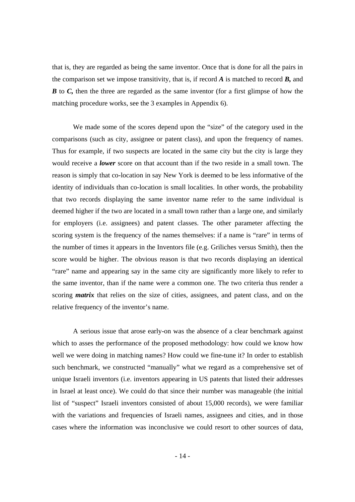that is, they are regarded as being the same inventor. Once that is done for all the pairs in the comparison set we impose transitivity, that is, if record *A* is matched to record *B,* and *B* to *C*, then the three are regarded as the same inventor (for a first glimpse of how the matching procedure works, see the 3 examples in Appendix 6).

We made some of the scores depend upon the "size" of the category used in the comparisons (such as city, assignee or patent class), and upon the frequency of names. Thus for example, if two suspects are located in the same city but the city is large they would receive a *lower* score on that account than if the two reside in a small town. The reason is simply that co-location in say New York is deemed to be less informative of the identity of individuals than co-location is small localities. In other words, the probability that two records displaying the same inventor name refer to the same individual is deemed higher if the two are located in a small town rather than a large one, and similarly for employers (i.e. assignees) and patent classes. The other parameter affecting the scoring system is the frequency of the names themselves: if a name is "rare" in terms of the number of times it appears in the Inventors file (e.g. Griliches versus Smith), then the score would be higher. The obvious reason is that two records displaying an identical "rare" name and appearing say in the same city are significantly more likely to refer to the same inventor, than if the name were a common one. The two criteria thus render a scoring *matrix* that relies on the size of cities, assignees, and patent class, and on the relative frequency of the inventor's name.

A serious issue that arose early-on was the absence of a clear benchmark against which to asses the performance of the proposed methodology: how could we know how well we were doing in matching names? How could we fine-tune it? In order to establish such benchmark, we constructed "manually" what we regard as a comprehensive set of unique Israeli inventors (i.e. inventors appearing in US patents that listed their addresses in Israel at least once). We could do that since their number was manageable (the initial list of "suspect" Israeli inventors consisted of about 15,000 records), we were familiar with the variations and frequencies of Israeli names, assignees and cities, and in those cases where the information was inconclusive we could resort to other sources of data,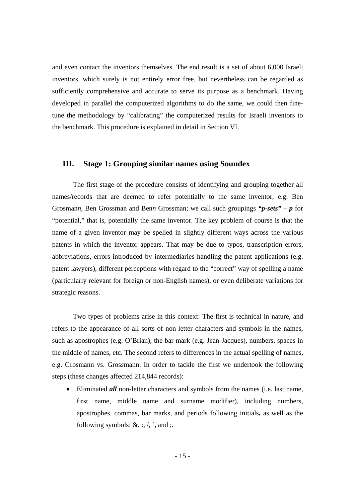and even contact the inventors themselves. The end result is a set of about 6,000 Israeli inventors, which surely is not entirely error free, but nevertheless can be regarded as sufficiently comprehensive and accurate to serve its purpose as a benchmark. Having developed in parallel the computerized algorithms to do the same, we could then finetune the methodology by "calibrating" the computerized results for Israeli inventors to the benchmark. This procedure is explained in detail in Section VI.

## **III. Stage 1: Grouping similar names using Soundex**

The first stage of the procedure consists of identifying and grouping together all names/records that are deemed to refer potentially to the same inventor, e.g. Ben Grosman*n*, Ben Grossman and Ben*n* Grossman; we call such groupings *"p-sets"* – *p* for "potential," that is, potentially the same inventor. The key problem of course is that the name of a given inventor may be spelled in slightly different ways across the various patents in which the inventor appears. That may be due to typos, transcription errors, abbreviations, errors introduced by intermediaries handling the patent applications (e.g. patent lawyers), different perceptions with regard to the "correct" way of spelling a name (particularly relevant for foreign or non-English names), or even deliberate variations for strategic reasons.

Two types of problems arise in this context: The first is technical in nature, and refers to the appearance of all sorts of non-letter characters and symbols in the names, such as apostrophes (e.g. O'Brian), the bar mark (e.g. Jean-Jacques), numbers, spaces in the middle of names, etc. The second refers to differences in the actual spelling of names, e.g. Grosmann vs. Gros*s*mann. In order to tackle the first we undertook the following steps (these changes affected 214,844 records):

• Eliminated *all* non-letter characters and symbols from the names (i.e. last name, first name, middle name and surname modifier), including numbers, apostrophes, commas, bar marks, and periods following initials**,** as well as the following symbols:  $\&$ , :,  $\land$ ,  $\land$ , and ;.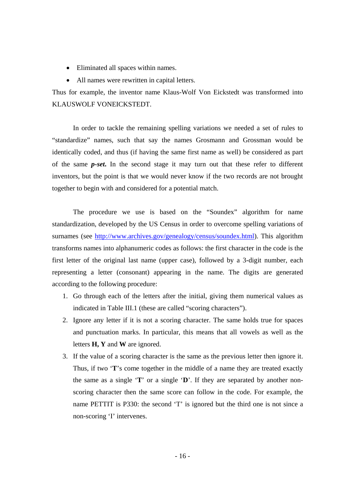- Eliminated all spaces within names.
- All names were rewritten in capital letters.

Thus for example, the inventor name Klaus-Wolf Von Eickstedt was transformed into KLAUSWOLF VONEICKSTEDT.

In order to tackle the remaining spelling variations we needed a set of rules to "standardize" names, such that say the names Grosmann and Grossman would be identically coded, and thus (if having the same first name as well) be considered as part of the same *p-set***.** In the second stage it may turn out that these refer to different inventors, but the point is that we would never know if the two records are not brought together to begin with and considered for a potential match.

The procedure we use is based on the "Soundex" algorithm for name standardization, developed by the US Census in order to overcome spelling variations of surnames (see http://www.archives.gov/genealogy/census/soundex.html). This algorithm transforms names into alphanumeric codes as follows: the first character in the code is the first letter of the original last name (upper case), followed by a 3-digit number, each representing a letter (consonant) appearing in the name. The digits are generated according to the following procedure:

- 1. Go through each of the letters after the initial, giving them numerical values as indicated in Table III.1 (these are called "scoring characters").
- 2. Ignore any letter if it is not a scoring character. The same holds true for spaces and punctuation marks. In particular, this means that all vowels as well as the letters **H, Y** and **W** are ignored.
- 3. If the value of a scoring character is the same as the previous letter then ignore it. Thus, if two '**T**'s come together in the middle of a name they are treated exactly the same as a single '**T**' or a single '**D**'. If they are separated by another nonscoring character then the same score can follow in the code. For example, the name PETTIT is P330: the second 'T' is ignored but the third one is not since a non-scoring 'I' intervenes.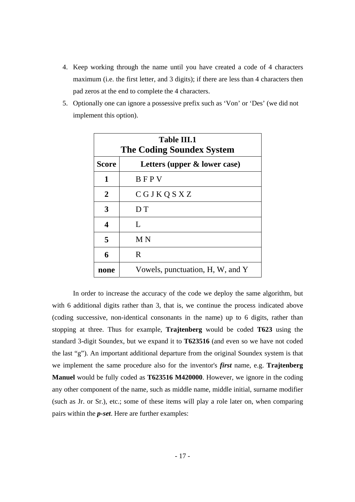- 4. Keep working through the name until you have created a code of 4 characters maximum (i.e. the first letter, and 3 digits); if there are less than 4 characters then pad zeros at the end to complete the 4 characters.
- 5. Optionally one can ignore a possessive prefix such as 'Von' or 'Des' (we did not implement this option).

| <b>Table III.1</b><br><b>The Coding Soundex System</b> |                                  |  |  |
|--------------------------------------------------------|----------------------------------|--|--|
| <b>Score</b>                                           | Letters (upper & lower case)     |  |  |
| 1                                                      | BFPV                             |  |  |
| $\overline{2}$                                         | CGJKQSXZ                         |  |  |
| 3                                                      | D T                              |  |  |
| 4                                                      | L                                |  |  |
| 5                                                      | M N                              |  |  |
| 6                                                      | R                                |  |  |
| none                                                   | Vowels, punctuation, H, W, and Y |  |  |

In order to increase the accuracy of the code we deploy the same algorithm, but with 6 additional digits rather than 3, that is, we continue the process indicated above (coding successive, non-identical consonants in the name) up to 6 digits, rather than stopping at three. Thus for example, **Trajtenberg** would be coded **T623** using the standard 3-digit Soundex, but we expand it to **T623516** (and even so we have not coded the last "g"). An important additional departure from the original Soundex system is that we implement the same procedure also for the inventor's *first* name, e.g. **Trajtenberg Manuel** would be fully coded as **T623516 M420000**. However, we ignore in the coding any other component of the name, such as middle name, middle initial, surname modifier (such as Jr. or Sr.), etc.; some of these items will play a role later on, when comparing pairs within the *p-set*. Here are further examples: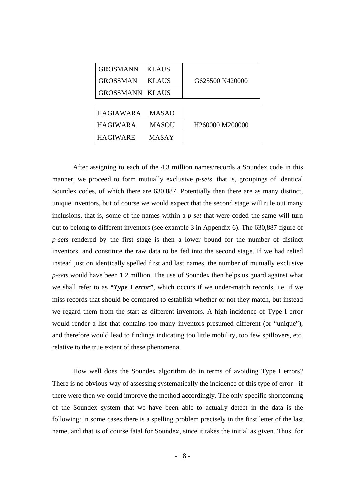| <b>GROSMANN</b>        | <b>KLAUS</b> |                                         |
|------------------------|--------------|-----------------------------------------|
| <b>GROSSMAN</b>        | <b>KLAUS</b> | G625500 K420000                         |
| <b>GROSSMANN KLAUS</b> |              |                                         |
|                        |              |                                         |
| <b>HAGIAWARA</b>       | <b>MASAO</b> |                                         |
| <b>HAGIWARA</b>        | <b>MASOU</b> | H <sub>260000</sub> M <sub>200000</sub> |
| <b>HAGIWARE</b>        | MASAY        |                                         |

After assigning to each of the 4.3 million names/records a Soundex code in this manner, we proceed to form mutually exclusive *p-sets*, that is, groupings of identical Soundex codes, of which there are 630,887. Potentially then there are as many distinct, unique inventors, but of course we would expect that the second stage will rule out many inclusions, that is, some of the names within a *p-set* that were coded the same will turn out to belong to different inventors (see example 3 in Appendix 6). The 630,887 figure of *p-sets* rendered by the first stage is then a lower bound for the number of distinct inventors, and constitute the raw data to be fed into the second stage. If we had relied instead just on identically spelled first and last names, the number of mutually exclusive *p-sets* would have been 1.2 million. The use of Soundex then helps us guard against what we shall refer to as *"Type I error"*, which occurs if we under-match records, i.e. if we miss records that should be compared to establish whether or not they match, but instead we regard them from the start as different inventors. A high incidence of Type I error would render a list that contains too many inventors presumed different (or "unique"), and therefore would lead to findings indicating too little mobility, too few spillovers, etc. relative to the true extent of these phenomena.

How well does the Soundex algorithm do in terms of avoiding Type I errors? There is no obvious way of assessing systematically the incidence of this type of error - if there were then we could improve the method accordingly. The only specific shortcoming of the Soundex system that we have been able to actually detect in the data is the following: in some cases there is a spelling problem precisely in the first letter of the last name, and that is of course fatal for Soundex, since it takes the initial as given. Thus, for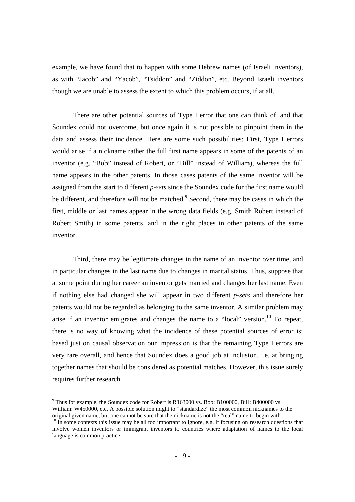example, we have found that to happen with some Hebrew names (of Israeli inventors), as with "Jacob" and "Yacob", "Tsiddon" and "Ziddon", etc. Beyond Israeli inventors though we are unable to assess the extent to which this problem occurs, if at all.

There are other potential sources of Type I error that one can think of, and that Soundex could not overcome, but once again it is not possible to pinpoint them in the data and assess their incidence. Here are some such possibilities: First, Type I errors would arise if a nickname rather the full first name appears in some of the patents of an inventor (e.g. "Bob" instead of Robert, or "Bill" instead of William), whereas the full name appears in the other patents. In those cases patents of the same inventor will be assigned from the start to different *p-sets* since the Soundex code for the first name would be different, and therefore will not be matched.<sup>9</sup> Second, there may be cases in which the first, middle or last names appear in the wrong data fields (e.g. Smith Robert instead of Robert Smith) in some patents, and in the right places in other patents of the same inventor.

Third, there may be legitimate changes in the name of an inventor over time, and in particular changes in the last name due to changes in marital status. Thus, suppose that at some point during her career an inventor gets married and changes her last name. Even if nothing else had changed she will appear in two different *p-sets* and therefore her patents would not be regarded as belonging to the same inventor. A similar problem may arise if an inventor emigrates and changes the name to a "local" version.<sup>10</sup> To repeat, there is no way of knowing what the incidence of these potential sources of error is; based just on causal observation our impression is that the remaining Type I errors are very rare overall, and hence that Soundex does a good job at inclusion, i.e. at bringing together names that should be considered as potential matches. However, this issue surely requires further research.

<sup>9</sup> Thus for example, the Soundex code for Robert is R163000 vs. Bob: B100000, Bill: B400000 vs. William: W450000, etc. A possible solution might to "standardize" the most common nicknames to the original given name, but one cannot be sure that the nickname is not the "real" name to begin with.

<sup>&</sup>lt;sup>10</sup> In some contexts this issue may be all too important to ignore, e.g. if focusing on research questions that involve women inventors or immigrant inventors to countries where adaptation of names to the local language is common practice.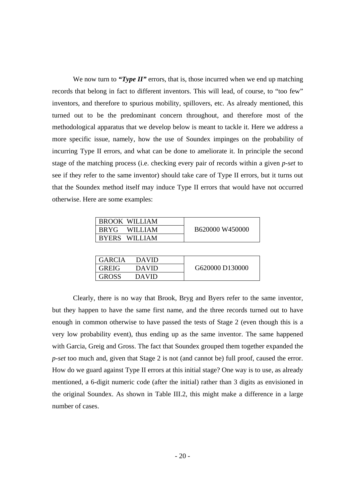We now turn to *"Type II"* errors, that is, those incurred when we end up matching records that belong in fact to different inventors. This will lead, of course, to "too few" inventors, and therefore to spurious mobility, spillovers, etc. As already mentioned, this turned out to be the predominant concern throughout, and therefore most of the methodological apparatus that we develop below is meant to tackle it. Here we address a more specific issue, namely, how the use of Soundex impinges on the probability of incurring Type II errors, and what can be done to ameliorate it. In principle the second stage of the matching process (i.e. checking every pair of records within a given *p-set* to see if they refer to the same inventor) should take care of Type II errors, but it turns out that the Soundex method itself may induce Type II errors that would have not occurred otherwise. Here are some examples:

| <b>BROOK WILLIAM</b> |                 |
|----------------------|-----------------|
| I BRYG – WILLIAM     | B620000 W450000 |
| <b>BYERS WILLIAM</b> |                 |

| <b>GARCIA</b> | <b>DAVID</b> |                 |
|---------------|--------------|-----------------|
| <b>GREIG</b>  | <b>DAVID</b> | G620000 D130000 |
| <b>GROSS</b>  | DAVID        |                 |

Clearly, there is no way that Brook, Bryg and Byers refer to the same inventor, but they happen to have the same first name, and the three records turned out to have enough in common otherwise to have passed the tests of Stage 2 (even though this is a very low probability event), thus ending up as the same inventor. The same happened with Garcia, Greig and Gross. The fact that Soundex grouped them together expanded the *p-set* too much and, given that Stage 2 is not (and cannot be) full proof, caused the error. How do we guard against Type II errors at this initial stage? One way is to use, as already mentioned, a 6-digit numeric code (after the initial) rather than 3 digits as envisioned in the original Soundex. As shown in Table III.2, this might make a difference in a large number of cases.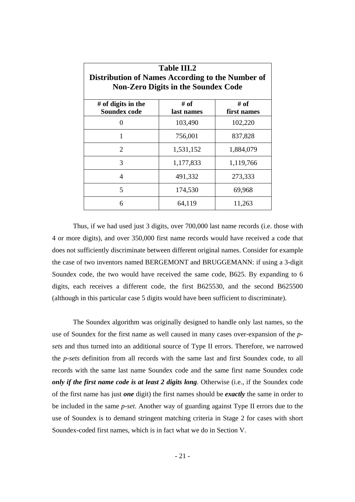| <b>Table III.2</b><br>Distribution of Names According to the Number of<br><b>Non-Zero Digits in the Soundex Code</b> |                    |                     |  |
|----------------------------------------------------------------------------------------------------------------------|--------------------|---------------------|--|
| # of digits in the<br><b>Soundex code</b>                                                                            | # of<br>last names | # of<br>first names |  |
| $\Omega$                                                                                                             | 103,490            | 102,220             |  |
| 1                                                                                                                    | 756,001            | 837,828             |  |
| 2                                                                                                                    | 1,531,152          | 1,884,079           |  |
| 3                                                                                                                    | 1,177,833          | 1,119,766           |  |
| $\overline{4}$                                                                                                       | 491,332            | 273,333             |  |
| 5                                                                                                                    | 174,530            | 69,968              |  |
| 6                                                                                                                    | 64,119             | 11,263              |  |

Thus, if we had used just 3 digits, over 700,000 last name records (i.e. those with 4 or more digits), and over 350,000 first name records would have received a code that does not sufficiently discriminate between different original names. Consider for example the case of two inventors named BERGEMONT and BRUGGEMANN: if using a 3-digit Soundex code, the two would have received the same code, B625. By expanding to 6 digits, each receives a different code, the first B625530, and the second B625500 (although in this particular case 5 digits would have been sufficient to discriminate).

The Soundex algorithm was originally designed to handle only last names, so the use of Soundex for the first name as well caused in many cases over-expansion of the *psets* and thus turned into an additional source of Type II errors. Therefore, we narrowed the *p-sets* definition from all records with the same last and first Soundex code, to all records with the same last name Soundex code and the same first name Soundex code *only if the first name code is at least 2 digits long*. Otherwise (i.e., if the Soundex code of the first name has just *one* digit) the first names should be *exactly* the same in order to be included in the same *p-set*. Another way of guarding against Type II errors due to the use of Soundex is to demand stringent matching criteria in Stage 2 for cases with short Soundex-coded first names, which is in fact what we do in Section V.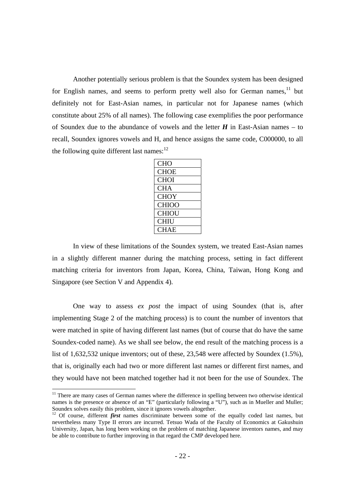Another potentially serious problem is that the Soundex system has been designed for English names, and seems to perform pretty well also for German names,  $1\text{}$  but definitely not for East-Asian names, in particular not for Japanese names (which constitute about 25% of all names). The following case exemplifies the poor performance of Soundex due to the abundance of vowels and the letter  $H$  in East-Asian names – to recall, Soundex ignores vowels and H, and hence assigns the same code, C000000, to all the following quite different last names: $^{12}$ 

In view of these limitations of the Soundex system, we treated East-Asian names in a slightly different manner during the matching process, setting in fact different matching criteria for inventors from Japan, Korea, China, Taiwan, Hong Kong and Singapore (see Section V and Appendix 4).

One way to assess *ex post* the impact of using Soundex (that is, after implementing Stage 2 of the matching process) is to count the number of inventors that were matched in spite of having different last names (but of course that do have the same Soundex-coded name). As we shall see below, the end result of the matching process is a list of 1,632,532 unique inventors; out of these, 23,548 were affected by Soundex (1.5%), that is, originally each had two or more different last names or different first names, and they would have not been matched together had it not been for the use of Soundex. The

<sup>&</sup>lt;sup>11</sup> There are many cases of German names where the difference in spelling between two otherwise identical names is the presence or absence of an "E" (particularly following a "U"), such as in Mueller and Muller; Soundex solves easily this problem, since it ignores vowels altogether.

<sup>&</sup>lt;sup>12</sup> Of course, different *first* names discriminate between some of the equally coded last names, but nevertheless many Type II errors are incurred. Tetsuo Wada of the Faculty of Economics at Gakushuin University, Japan, has long been working on the problem of matching Japanese inventors names, and may be able to contribute to further improving in that regard the CMP developed here.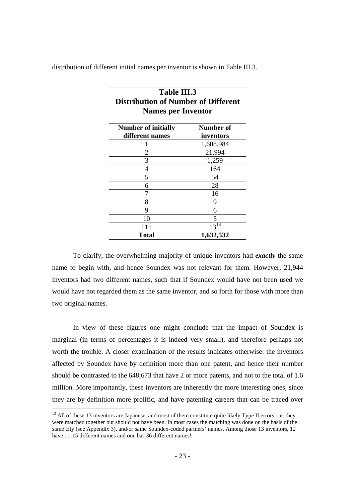distribution of different initial names per inventor is shown in Table III.3.

| <b>Table III.3</b><br><b>Distribution of Number of Different</b> |                        |  |  |
|------------------------------------------------------------------|------------------------|--|--|
| <b>Names per Inventor</b>                                        |                        |  |  |
| <b>Number of initially</b><br>different names                    | Number of<br>inventors |  |  |
| ı                                                                | 1,608,984              |  |  |
| 2                                                                | 21,994                 |  |  |
| 3                                                                | 1,259                  |  |  |
| 4                                                                | 164                    |  |  |
| 5                                                                | 54                     |  |  |
| 6                                                                | 28                     |  |  |
| 7                                                                | 16                     |  |  |
| 8                                                                | 9                      |  |  |
| 9                                                                | 6                      |  |  |
| 10                                                               | 5                      |  |  |
| $11+$                                                            | $13^{13}$              |  |  |
| Total                                                            | 1,632,532              |  |  |

To clarify, the overwhelming majority of unique inventors had *exactly* the same name to begin with, and hence Soundex was not relevant for them. However, 21,944 inventors had two different names, such that if Soundex would have not been used we would have not regarded them as the same inventor, and so forth for those with more than two original names.

In view of these figures one might conclude that the impact of Soundex is marginal (in terms of percentages it is indeed very small), and therefore perhaps not worth the trouble. A closer examination of the results indicates otherwise: the inventors affected by Soundex have by definition more than one patent, and hence their number should be contrasted to the 648,673 that have 2 or more patents, and not to the total of 1.6 million. More importantly, these inventors are inherently the more interesting ones, since they are by definition more prolific, and have patenting careers that can be traced over

l

 $13$  All of these 13 inventors are Japanese, and most of them constitute quite likely Type II errors, i.e. they were matched together but should not have been. In most cases the matching was done on the basis of the same city (see Appendix 3), and/or same Soundex-coded partners' names. Among those 13 inventors, 12 have 11-15 different names and one has 36 different names!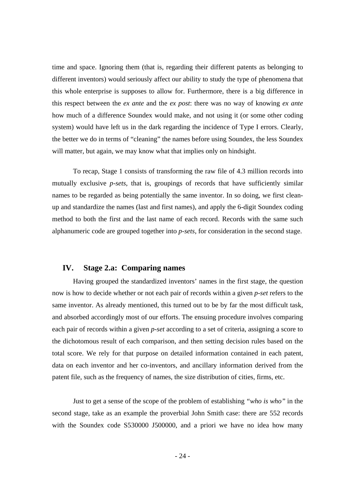time and space. Ignoring them (that is, regarding their different patents as belonging to different inventors) would seriously affect our ability to study the type of phenomena that this whole enterprise is supposes to allow for. Furthermore, there is a big difference in this respect between the *ex ante* and the *ex post*: there was no way of knowing *ex ante* how much of a difference Soundex would make, and not using it (or some other coding system) would have left us in the dark regarding the incidence of Type I errors. Clearly, the better we do in terms of "cleaning" the names before using Soundex, the less Soundex will matter, but again, we may know what that implies only on hindsight.

To recap, Stage 1 consists of transforming the raw file of 4.3 million records into mutually exclusive *p-sets*, that is, groupings of records that have sufficiently similar names to be regarded as being potentially the same inventor. In so doing, we first cleanup and standardize the names (last and first names), and apply the 6-digit Soundex coding method to both the first and the last name of each record. Records with the same such alphanumeric code are grouped together into *p-sets*, for consideration in the second stage.

## **IV. Stage 2.a: Comparing names**

Having grouped the standardized inventors' names in the first stage, the question now is how to decide whether or not each pair of records within a given *p-set* refers to the same inventor. As already mentioned, this turned out to be by far the most difficult task, and absorbed accordingly most of our efforts. The ensuing procedure involves comparing each pair of records within a given *p-set* according to a set of criteria, assigning a score to the dichotomous result of each comparison, and then setting decision rules based on the total score. We rely for that purpose on detailed information contained in each patent, data on each inventor and her co-inventors, and ancillary information derived from the patent file, such as the frequency of names, the size distribution of cities, firms, etc.

Just to get a sense of the scope of the problem of establishing *"who is who"* in the second stage, take as an example the proverbial John Smith case: there are 552 records with the Soundex code S530000 J500000, and a priori we have no idea how many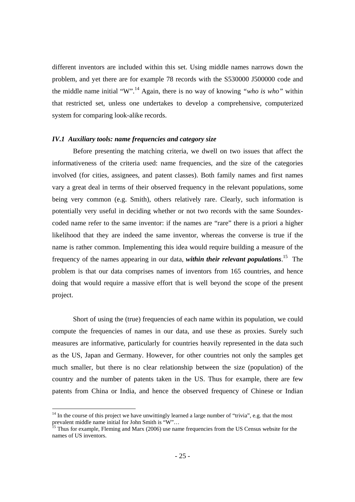different inventors are included within this set. Using middle names narrows down the problem, and yet there are for example 78 records with the S530000 J500000 code and the middle name initial "W".14 Again, there is no way of knowing *"who is who"* within that restricted set, unless one undertakes to develop a comprehensive, computerized system for comparing look-alike records.

#### *IV.1 Auxiliary tools: name frequencies and category size*

Before presenting the matching criteria, we dwell on two issues that affect the informativeness of the criteria used: name frequencies, and the size of the categories involved (for cities, assignees, and patent classes). Both family names and first names vary a great deal in terms of their observed frequency in the relevant populations, some being very common (e.g. Smith), others relatively rare. Clearly, such information is potentially very useful in deciding whether or not two records with the same Soundexcoded name refer to the same inventor: if the names are "rare" there is a priori a higher likelihood that they are indeed the same inventor, whereas the converse is true if the name is rather common. Implementing this idea would require building a measure of the frequency of the names appearing in our data, *within their relevant populations*. 15 The problem is that our data comprises names of inventors from 165 countries, and hence doing that would require a massive effort that is well beyond the scope of the present project.

Short of using the (true) frequencies of each name within its population, we could compute the frequencies of names in our data, and use these as proxies. Surely such measures are informative, particularly for countries heavily represented in the data such as the US, Japan and Germany. However, for other countries not only the samples get much smaller, but there is no clear relationship between the size (population) of the country and the number of patents taken in the US. Thus for example, there are few patents from China or India, and hence the observed frequency of Chinese or Indian

l

 $14$  In the course of this project we have unwittingly learned a large number of "trivia", e.g. that the most prevalent middle name initial for John Smith is "W"...

 $<sup>5</sup>$  Thus for example, Fleming and Marx (2006) use name frequencies from the US Census website for the</sup> names of US inventors.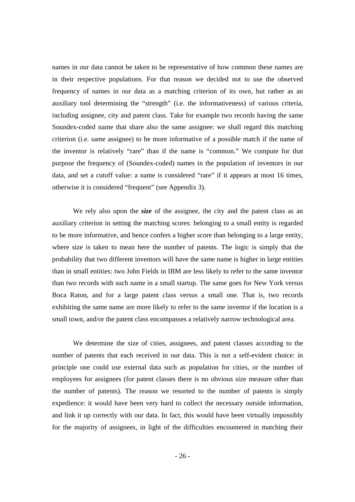names in our data cannot be taken to be representative of how common these names are in their respective populations. For that reason we decided not to use the observed frequency of names in our data as a matching criterion of its own, but rather as an auxiliary tool determining the "strength" (i.e. the informativeness) of various criteria, including assignee, city and patent class. Take for example two records having the same Soundex-coded name that share also the same assignee: we shall regard this matching criterion (i.e. same assignee) to be more informative of a possible match if the name of the inventor is relatively "rare" than if the name is "common." We compute for that purpose the frequency of (Soundex-coded) names in the population of inventors in our data, and set a cutoff value: a name is considered "rare" if it appears at most 16 times, otherwise it is considered "frequent" (see Appendix 3).

We rely also upon the *size* of the assignee, the city and the patent class as an auxiliary criterion in setting the matching scores: belonging to a small entity is regarded to be more informative, and hence confers a higher score than belonging to a large entity, where size is taken to mean here the number of patents. The logic is simply that the probability that two different inventors will have the same name is higher in large entities than in small entities: two John Fields in IBM are less likely to refer to the same inventor than two records with such name in a small startup. The same goes for New York versus Boca Raton, and for a large patent class versus a small one. That is, two records exhibiting the same name are more likely to refer to the same inventor if the location is a small town, and/or the patent class encompasses a relatively narrow technological area.

We determine the size of cities, assignees, and patent classes according to the number of patents that each received in our data. This is not a self-evident choice: in principle one could use external data such as population for cities, or the number of employees for assignees (for patent classes there is no obvious size measure other than the number of patents). The reason we resorted to the number of patents is simply expedience: it would have been very hard to collect the necessary outside information, and link it up correctly with our data. In fact, this would have been virtually impossibly for the majority of assignees, in light of the difficulties encountered in matching their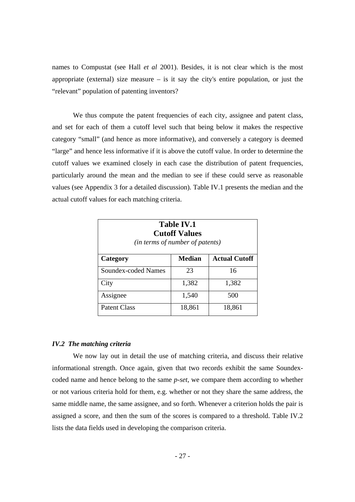names to Compustat (see Hall *et al* 2001). Besides, it is not clear which is the most appropriate (external) size measure  $-$  is it say the city's entire population, or just the "relevant" population of patenting inventors?

We thus compute the patent frequencies of each city, assignee and patent class, and set for each of them a cutoff level such that being below it makes the respective category "small" (and hence as more informative), and conversely a category is deemed "large" and hence less informative if it is above the cutoff value. In order to determine the cutoff values we examined closely in each case the distribution of patent frequencies, particularly around the mean and the median to see if these could serve as reasonable values (see Appendix 3 for a detailed discussion). Table IV.1 presents the median and the actual cutoff values for each matching criteria.

| <b>Table IV.1</b><br><b>Cutoff Values</b><br>(in terms of number of patents) |               |                      |  |
|------------------------------------------------------------------------------|---------------|----------------------|--|
| Category                                                                     | <b>Median</b> | <b>Actual Cutoff</b> |  |
| Soundex-coded Names                                                          | 23            | 16                   |  |
| City                                                                         | 1,382         | 1,382                |  |
| Assignee                                                                     | 1,540         | 500                  |  |
| Patent Class                                                                 | 18,861        | 18,861               |  |

#### *IV.2 The matching criteria*

We now lay out in detail the use of matching criteria, and discuss their relative informational strength. Once again, given that two records exhibit the same Soundexcoded name and hence belong to the same *p-set*, we compare them according to whether or not various criteria hold for them, e.g. whether or not they share the same address, the same middle name, the same assignee, and so forth. Whenever a criterion holds the pair is assigned a score, and then the sum of the scores is compared to a threshold. Table IV.2 lists the data fields used in developing the comparison criteria.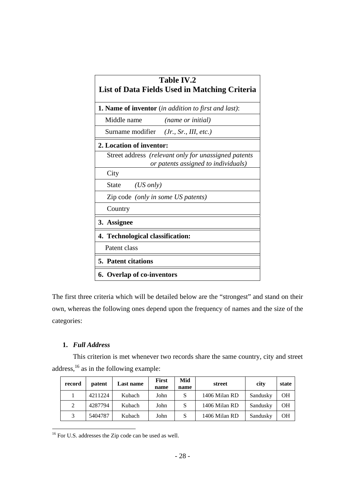| <b>Table IV.2</b><br>List of Data Fields Used in Matching Criteria                          |  |  |  |  |  |  |  |
|---------------------------------------------------------------------------------------------|--|--|--|--|--|--|--|
| <b>1. Name of inventor</b> (in addition to first and last):                                 |  |  |  |  |  |  |  |
| Middle name<br><i>(name or initial)</i>                                                     |  |  |  |  |  |  |  |
| Surname modifier <i>(Jr., Sr., III, etc.)</i>                                               |  |  |  |  |  |  |  |
| 2. Location of inventor:                                                                    |  |  |  |  |  |  |  |
| Street address (relevant only for unassigned patents<br>or patents assigned to individuals) |  |  |  |  |  |  |  |
| City                                                                                        |  |  |  |  |  |  |  |
| $(US \text{ only})$<br>State                                                                |  |  |  |  |  |  |  |
| Zip code (only in some US patents)                                                          |  |  |  |  |  |  |  |
| Country                                                                                     |  |  |  |  |  |  |  |
| 3. Assignee                                                                                 |  |  |  |  |  |  |  |
| 4. Technological classification:                                                            |  |  |  |  |  |  |  |
| Patent class                                                                                |  |  |  |  |  |  |  |
| <b>5. Patent citations</b>                                                                  |  |  |  |  |  |  |  |
| 6. Overlap of co-inventors                                                                  |  |  |  |  |  |  |  |

The first three criteria which will be detailed below are the "strongest" and stand on their own, whereas the following ones depend upon the frequency of names and the size of the categories:

## **1.** *Full Address*

This criterion is met whenever two records share the same country, city and street address,16 as in the following example:

| record | patent  | <b>Last name</b> | <b>First</b> | Mid  | street        | city     | state |
|--------|---------|------------------|--------------|------|---------------|----------|-------|
|        |         |                  | name         | name |               |          |       |
|        | 4211224 | Kubach           | John         | S    | 1406 Milan RD | Sandusky | OН    |
| 2      | 4287794 | Kubach           | John         | S    | 1406 Milan RD | Sandusky | OН    |
| 3      | 5404787 | Kubach           | John         | S    | 1406 Milan RD | Sandusky | OН    |

<sup>16</sup> For U.S. addresses the Zip code can be used as well.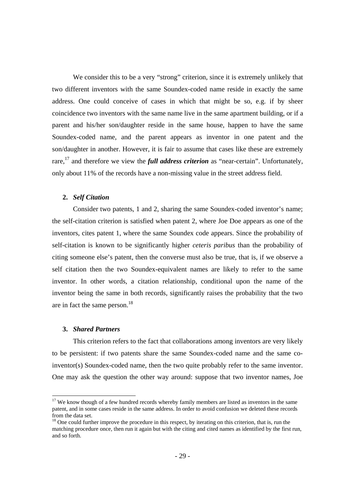We consider this to be a very "strong" criterion, since it is extremely unlikely that two different inventors with the same Soundex-coded name reside in exactly the same address. One could conceive of cases in which that might be so, e.g. if by sheer coincidence two inventors with the same name live in the same apartment building, or if a parent and his/her son/daughter reside in the same house, happen to have the same Soundex-coded name, and the parent appears as inventor in one patent and the son/daughter in another. However, it is fair to assume that cases like these are extremely rare,<sup>17</sup> and therefore we view the *full address criterion* as "near-certain". Unfortunately, only about 11% of the records have a non-missing value in the street address field.

#### **2.** *Self Citation*

Consider two patents, 1 and 2, sharing the same Soundex-coded inventor's name; the self-citation criterion is satisfied when patent 2, where Joe Doe appears as one of the inventors, cites patent 1, where the same Soundex code appears. Since the probability of self-citation is known to be significantly higher *ceteris paribus* than the probability of citing someone else's patent, then the converse must also be true, that is, if we observe a self citation then the two Soundex-equivalent names are likely to refer to the same inventor. In other words, a citation relationship, conditional upon the name of the inventor being the same in both records, significantly raises the probability that the two are in fact the same person.<sup>18</sup>

#### **3.** *Shared Partners*

This criterion refers to the fact that collaborations among inventors are very likely to be persistent: if two patents share the same Soundex-coded name and the same coinventor(s) Soundex-coded name, then the two quite probably refer to the same inventor. One may ask the question the other way around: suppose that two inventor names, Joe

<sup>&</sup>lt;sup>17</sup> We know though of a few hundred records whereby family members are listed as inventors in the same patent, and in some cases reside in the same address. In order to avoid confusion we deleted these records from the data set.

<sup>&</sup>lt;sup>18</sup> One could further improve the procedure in this respect, by iterating on this criterion, that is, run the matching procedure once, then run it again but with the citing and cited names as identified by the first run, and so forth.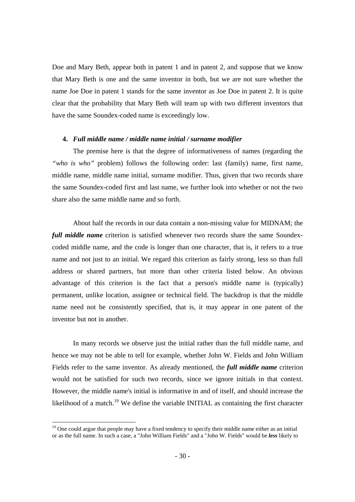Doe and Mary Beth, appear both in patent 1 and in patent 2, and suppose that we know that Mary Beth is one and the same inventor in both, but we are not sure whether the name Joe Doe in patent 1 stands for the same inventor as Joe Doe in patent 2. It is quite clear that the probability that Mary Beth will team up with two different inventors that have the same Soundex-coded name is exceedingly low.

#### **4.** *Full middle name / middle name initial / surname modifier*

The premise here is that the degree of informativeness of names (regarding the *"who is who"* problem) follows the following order: last (family) name, first name, middle name, middle name initial, surname modifier. Thus, given that two records share the same Soundex-coded first and last name, we further look into whether or not the two share also the same middle name and so forth.

About half the records in our data contain a non-missing value for MIDNAM; the *full middle name* criterion is satisfied whenever two records share the same Soundexcoded middle name, and the code is longer than one character, that is, it refers to a true name and not just to an initial. We regard this criterion as fairly strong, less so than full address or shared partners, but more than other criteria listed below. An obvious advantage of this criterion is the fact that a person's middle name is (typically) permanent, unlike location, assignee or technical field. The backdrop is that the middle name need not be consistently specified, that is, it may appear in one patent of the inventor but not in another.

In many records we observe just the initial rather than the full middle name, and hence we may not be able to tell for example, whether John W. Fields and John William Fields refer to the same inventor. As already mentioned, the *full middle name* criterion would not be satisfied for such two records, since we ignore initials in that context. However, the middle name's initial is informative in and of itself, and should increase the likelihood of a match.<sup>19</sup> We define the variable INITIAL as containing the first character

<sup>&</sup>lt;sup>19</sup> One could argue that people may have a fixed tendency to specify their middle name either as an initial or as the full name. In such a case, a "John William Fields" and a "John W. Fields" would be *less* likely to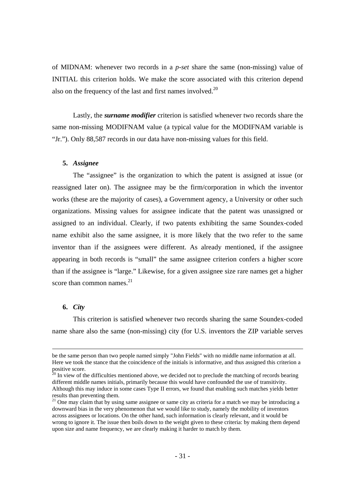of MIDNAM: whenever two records in a *p-set* share the same (non-missing) value of INITIAL this criterion holds. We make the score associated with this criterion depend also on the frequency of the last and first names involved. $20$ 

Lastly, the *surname modifier* criterion is satisfied whenever two records share the same non-missing MODIFNAM value (a typical value for the MODIFNAM variable is "Jr."). Only 88,587 records in our data have non-missing values for this field.

### **5.** *Assignee*

The "assignee" is the organization to which the patent is assigned at issue (or reassigned later on). The assignee may be the firm/corporation in which the inventor works (these are the majority of cases), a Government agency, a University or other such organizations. Missing values for assignee indicate that the patent was unassigned or assigned to an individual. Clearly, if two patents exhibiting the same Soundex-coded name exhibit also the same assignee, it is more likely that the two refer to the same inventor than if the assignees were different. As already mentioned, if the assignee appearing in both records is "small" the same assignee criterion confers a higher score than if the assignee is "large." Likewise, for a given assignee size rare names get a higher score than common names. $21$ 

#### **6.** *City*

This criterion is satisfied whenever two records sharing the same Soundex-coded name share also the same (non-missing) city (for U.S. inventors the ZIP variable serves

be the same person than two people named simply "John Fields" with no middle name information at all. Here we took the stance that the coincidence of the initials is informative, and thus assigned this criterion a positive score.

 $20$  In view of the difficulties mentioned above, we decided not to preclude the matching of records bearing different middle names initials, primarily because this would have confounded the use of transitivity. Although this may induce in some cases Type II errors, we found that enabling such matches yields better results than preventing them.

 $21$  One may claim that by using same assignee or same city as criteria for a match we may be introducing a downward bias in the very phenomenon that we would like to study, namely the mobility of inventors across assignees or locations. On the other hand, such information is clearly relevant, and it would be wrong to ignore it. The issue then boils down to the weight given to these criteria: by making them depend upon size and name frequency, we are clearly making it harder to match by them.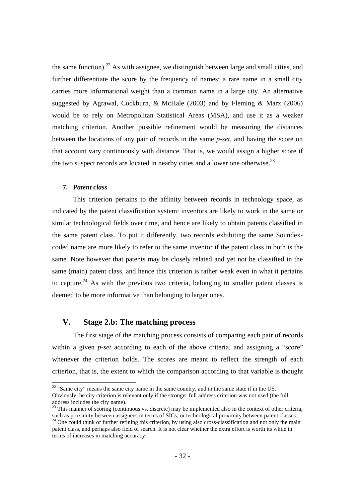the same function).<sup>22</sup> As with assignee, we distinguish between large and small cities, and further differentiate the score by the frequency of names: a rare name in a small city carries more informational weight than a common name in a large city. An alternative suggested by Agrawal, Cockburn, & McHale (2003) and by Fleming & Marx (2006) would be to rely on Metropolitan Statistical Areas (MSA), and use it as a weaker matching criterion. Another possible refinement would be measuring the distances between the locations of any pair of records in the same *p-set,* and having the score on that account vary continuously with distance. That is, we would assign a higher score if the two suspect records are located in nearby cities and a lower one otherwise.<sup>23</sup>

## **7.** *Patent class*

This criterion pertains to the affinity between records in technology space, as indicated by the patent classification system: inventors are likely to work in the same or similar technological fields over time, and hence are likely to obtain patents classified in the same patent class. To put it differently, two records exhibiting the same Soundexcoded name are more likely to refer to the same inventor if the patent class in both is the same. Note however that patents may be closely related and yet not be classified in the same (main) patent class, and hence this criterion is rather weak even in what it pertains to capture.<sup>24</sup> As with the previous two criteria, belonging to smaller patent classes is deemed to be more informative than belonging to larger ones.

## **V. Stage 2.b: The matching process**

The first stage of the matching process consists of comparing each pair of records within a given *p-set* according to each of the above criteria, and assigning a "score" whenever the criterion holds. The scores are meant to reflect the strength of each criterion, that is, the extent to which the comparison according to that variable is thought

 $22$  "Same city" means the same city name in the same country, and in the same state if in the US.

Obviously, he city criterion is relevant only if the stronger full address criterion was not used (the full address includes the city name).

<sup>&</sup>lt;sup>23</sup> This manner of scoring (continuous vs. discrete) may be implemented also in the context of other criteria, such as proximity between assignees in terms of SICs, or technological proximity between patent classes. <sup>24</sup> One could think of further refining this criterion, by using also cross-classification and not only the main

patent class, and perhaps also field of search. It is not clear whether the extra effort is worth its while in terms of increases in matching accuracy.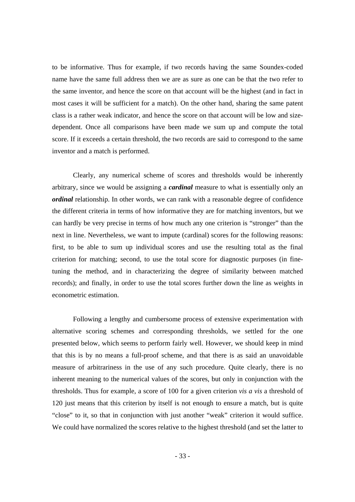to be informative. Thus for example, if two records having the same Soundex-coded name have the same full address then we are as sure as one can be that the two refer to the same inventor, and hence the score on that account will be the highest (and in fact in most cases it will be sufficient for a match). On the other hand, sharing the same patent class is a rather weak indicator, and hence the score on that account will be low and sizedependent. Once all comparisons have been made we sum up and compute the total score. If it exceeds a certain threshold, the two records are said to correspond to the same inventor and a match is performed.

Clearly, any numerical scheme of scores and thresholds would be inherently arbitrary, since we would be assigning a *cardinal* measure to what is essentially only an *ordinal* relationship. In other words, we can rank with a reasonable degree of confidence the different criteria in terms of how informative they are for matching inventors, but we can hardly be very precise in terms of how much any one criterion is "stronger" than the next in line. Nevertheless, we want to impute (cardinal) scores for the following reasons: first, to be able to sum up individual scores and use the resulting total as the final criterion for matching; second, to use the total score for diagnostic purposes (in finetuning the method, and in characterizing the degree of similarity between matched records); and finally, in order to use the total scores further down the line as weights in econometric estimation.

Following a lengthy and cumbersome process of extensive experimentation with alternative scoring schemes and corresponding thresholds, we settled for the one presented below, which seems to perform fairly well. However, we should keep in mind that this is by no means a full-proof scheme, and that there is as said an unavoidable measure of arbitrariness in the use of any such procedure. Quite clearly, there is no inherent meaning to the numerical values of the scores, but only in conjunction with the thresholds. Thus for example, a score of 100 for a given criterion *vis a vis* a threshold of 120 just means that this criterion by itself is not enough to ensure a match, but is quite "close" to it, so that in conjunction with just another "weak" criterion it would suffice. We could have normalized the scores relative to the highest threshold (and set the latter to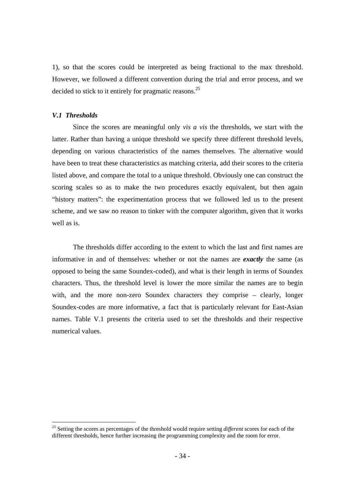1), so that the scores could be interpreted as being fractional to the max threshold. However, we followed a different convention during the trial and error process, and we decided to stick to it entirely for pragmatic reasons.<sup>25</sup>

#### *V.1 Thresholds*

 Since the scores are meaningful only *vis a vis* the thresholds, we start with the latter. Rather than having a unique threshold we specify three different threshold levels, depending on various characteristics of the names themselves. The alternative would have been to treat these characteristics as matching criteria, add their scores to the criteria listed above, and compare the total to a unique threshold. Obviously one can construct the scoring scales so as to make the two procedures exactly equivalent, but then again "history matters": the experimentation process that we followed led us to the present scheme, and we saw no reason to tinker with the computer algorithm, given that it works well as is.

The thresholds differ according to the extent to which the last and first names are informative in and of themselves: whether or not the names are *exactly* the same (as opposed to being the same Soundex-coded), and what is their length in terms of Soundex characters. Thus, the threshold level is lower the more similar the names are to begin with, and the more non-zero Soundex characters they comprise – clearly, longer Soundex-codes are more informative, a fact that is particularly relevant for East-Asian names. Table V.1 presents the criteria used to set the thresholds and their respective numerical values.

<sup>25</sup> Setting the scores as percentages of the threshold would require setting *different* scores for each of the different thresholds, hence further increasing the programming complexity and the room for error.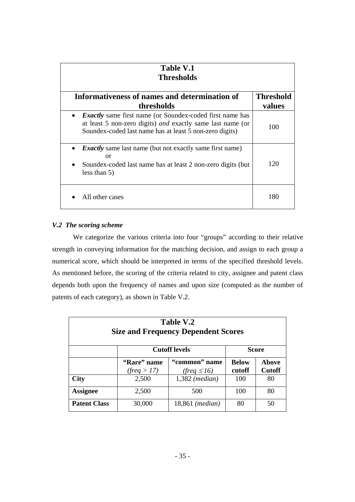| <b>Table V.1</b><br><b>Thresholds</b>                                                                                                                                                                 |                  |  |  |  |  |  |  |
|-------------------------------------------------------------------------------------------------------------------------------------------------------------------------------------------------------|------------------|--|--|--|--|--|--|
| Informativeness of names and determination of                                                                                                                                                         | <b>Threshold</b> |  |  |  |  |  |  |
| thresholds                                                                                                                                                                                            | values           |  |  |  |  |  |  |
| <b>Exactly</b> same first name (or Soundex-coded first name has<br>$\bullet$<br>at least 5 non-zero digits) and exactly same last name (or<br>Soundex-coded last name has at least 5 non-zero digits) | 100              |  |  |  |  |  |  |
| <b>Exactly</b> same last name (but not exactly same first name)<br><b>or</b><br>Soundex-coded last name has at least 2 non-zero digits (but<br>less than $5)$                                         | 120              |  |  |  |  |  |  |
| All other cases                                                                                                                                                                                       | 180              |  |  |  |  |  |  |

## *V.2 The scoring scheme*

We categorize the various criteria into four "groups" according to their relative strength in conveying information for the matching decision, and assign to each group a numerical score, which should be interpreted in terms of the specified threshold levels. As mentioned before, the scoring of the criteria related to city, assignee and patent class depends both upon the frequency of names and upon size (computed as the number of patents of each category), as shown in Table V.2.

| Table V.2<br><b>Size and Frequency Dependent Scores</b> |                            |                                          |                        |                               |  |  |  |  |  |
|---------------------------------------------------------|----------------------------|------------------------------------------|------------------------|-------------------------------|--|--|--|--|--|
|                                                         | <b>Cutoff levels</b>       | <b>Score</b>                             |                        |                               |  |  |  |  |  |
|                                                         | "Rare" name<br>(freq > 17) | "common" name<br>$(\text{freq} \leq 16)$ | <b>Below</b><br>cutoff | <b>Above</b><br><b>Cutoff</b> |  |  |  |  |  |
| <b>City</b>                                             | 2,500                      | $1,382$ (median)                         | 100                    | 80                            |  |  |  |  |  |
| <b>Assignee</b>                                         | 2,500                      | 500                                      | 100                    | 80                            |  |  |  |  |  |
| <b>Patent Class</b>                                     | 30,000                     | 18,861 ( <i>median</i> )                 | 80                     | 50                            |  |  |  |  |  |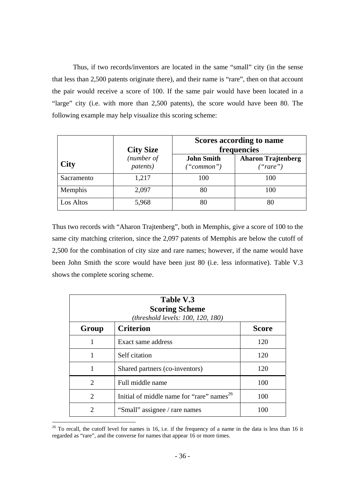Thus, if two records/inventors are located in the same "small" city (in the sense that less than 2,500 patents originate there), and their name is "rare", then on that account the pair would receive a score of 100. If the same pair would have been located in a "large" city (i.e. with more than 2,500 patents), the score would have been 80. The following example may help visualize this scoring scheme:

|             | <b>City Size</b>       |                                 | Scores according to name<br>frequencies |  |
|-------------|------------------------|---------------------------------|-----------------------------------------|--|
| <b>City</b> | (number of<br>patents) | <b>John Smith</b><br>("common") | <b>Aharon Trajtenberg</b><br>("rare")   |  |
| Sacramento  | 1,217                  | 100                             | 100                                     |  |
| Memphis     | 2,097                  | 80                              | 100                                     |  |
| Los Altos   | 5,968                  | 80                              | 80                                      |  |

Thus two records with "Aharon Trajtenberg", both in Memphis, give a score of 100 to the same city matching criterion, since the 2,097 patents of Memphis are below the cutoff of 2,500 for the combination of city size and rare names; however, if the name would have been John Smith the score would have been just 80 (i.e. less informative). Table V.3 shows the complete scoring scheme.

| Table V.3<br><b>Scoring Scheme</b><br>(threshold levels: 100, 120, 180) |                                                       |              |  |
|-------------------------------------------------------------------------|-------------------------------------------------------|--------------|--|
| Group                                                                   | <b>Criterion</b>                                      | <b>Score</b> |  |
|                                                                         | Exact same address                                    | 120          |  |
|                                                                         | Self citation                                         | 120          |  |
| 1                                                                       | Shared partners (co-inventors)                        | 120          |  |
| $\mathcal{D}_{\mathcal{L}}$                                             | Full middle name                                      | 100          |  |
| $\mathfrak{D}$                                                          | Initial of middle name for "rare" names <sup>26</sup> | 100          |  |
| 2                                                                       | "Small" assignee / rare names                         | 100          |  |

 $26$  To recall, the cutoff level for names is 16, i.e. if the frequency of a name in the data is less than 16 it regarded as "rare", and the converse for names that appear 16 or more times.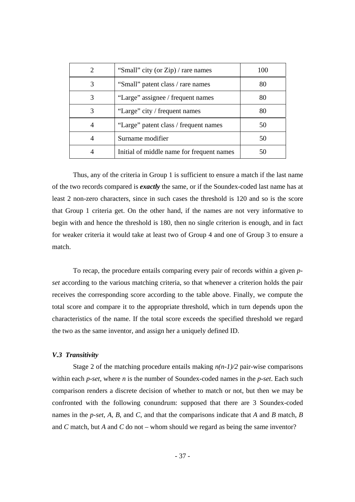|   | "Small" city (or Zip) / rare names        | 100 |
|---|-------------------------------------------|-----|
| 3 | "Small" patent class / rare names         | 80  |
|   | "Large" assignee / frequent names         | 80  |
| 3 | "Large" city / frequent names             | 80  |
|   | "Large" patent class / frequent names     | 50  |
|   | Surname modifier                          | 50  |
|   | Initial of middle name for frequent names | 50  |

Thus, any of the criteria in Group 1 is sufficient to ensure a match if the last name of the two records compared is *exactly* the same, or if the Soundex-coded last name has at least 2 non-zero characters, since in such cases the threshold is 120 and so is the score that Group 1 criteria get. On the other hand, if the names are not very informative to begin with and hence the threshold is 180, then no single criterion is enough, and in fact for weaker criteria it would take at least two of Group 4 and one of Group 3 to ensure a match.

To recap, the procedure entails comparing every pair of records within a given *pset* according to the various matching criteria, so that whenever a criterion holds the pair receives the corresponding score according to the table above. Finally, we compute the total score and compare it to the appropriate threshold, which in turn depends upon the characteristics of the name. If the total score exceeds the specified threshold we regard the two as the same inventor, and assign her a uniquely defined ID.

#### *V.3 Transitivity*

Stage 2 of the matching procedure entails making  $n(n-1)/2$  pair-wise comparisons within each *p-set*, where *n* is the number of Soundex-coded names in the *p-set*. Each such comparison renders a discrete decision of whether to match or not, but then we may be confronted with the following conundrum: supposed that there are 3 Soundex-coded names in the *p-set*, *A, B,* and *C*, and that the comparisons indicate that *A* and *B* match, *B*  and *C* match, but *A* and *C* do not – whom should we regard as being the same inventor?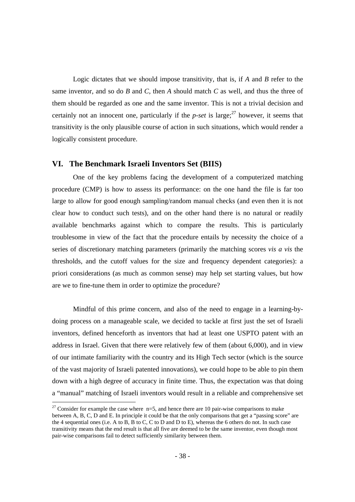Logic dictates that we should impose transitivity, that is, if *A* and *B* refer to the same inventor, and so do *B* and *C,* then *A* should match *C* as well, and thus the three of them should be regarded as one and the same inventor. This is not a trivial decision and certainly not an innocent one, particularly if the *p-set* is large;<sup>27</sup> however, it seems that transitivity is the only plausible course of action in such situations, which would render a logically consistent procedure.

### **VI. The Benchmark Israeli Inventors Set (BIIS)**

One of the key problems facing the development of a computerized matching procedure (CMP) is how to assess its performance: on the one hand the file is far too large to allow for good enough sampling/random manual checks (and even then it is not clear how to conduct such tests), and on the other hand there is no natural or readily available benchmarks against which to compare the results. This is particularly troublesome in view of the fact that the procedure entails by necessity the choice of a series of discretionary matching parameters (primarily the matching scores *vis a vis* the thresholds, and the cutoff values for the size and frequency dependent categories): a priori considerations (as much as common sense) may help set starting values, but how are we to fine-tune them in order to optimize the procedure?

Mindful of this prime concern, and also of the need to engage in a learning-bydoing process on a manageable scale, we decided to tackle at first just the set of Israeli inventors, defined henceforth as inventors that had at least one USPTO patent with an address in Israel. Given that there were relatively few of them (about 6,000), and in view of our intimate familiarity with the country and its High Tech sector (which is the source of the vast majority of Israeli patented innovations), we could hope to be able to pin them down with a high degree of accuracy in finite time. Thus, the expectation was that doing a "manual" matching of Israeli inventors would result in a reliable and comprehensive set

<sup>&</sup>lt;sup>27</sup> Consider for example the case where  $n=5$ , and hence there are 10 pair-wise comparisons to make between A, B, C, D and E. In principle it could be that the only comparisons that get a "passing score" are the 4 sequential ones (i.e. A to B, B to C, C to D and D to E), whereas the 6 others do not. In such case transitivity means that the end result is that all five are deemed to be the same inventor, even though most pair-wise comparisons fail to detect sufficiently similarity between them.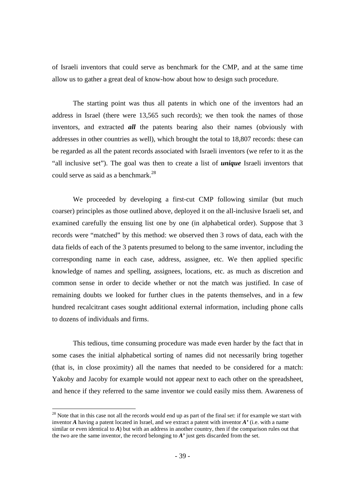of Israeli inventors that could serve as benchmark for the CMP, and at the same time allow us to gather a great deal of know-how about how to design such procedure.

The starting point was thus all patents in which one of the inventors had an address in Israel (there were 13,565 such records); we then took the names of those inventors, and extracted *all* the patents bearing also their names (obviously with addresses in other countries as well), which brought the total to 18,807 records: these can be regarded as all the patent records associated with Israeli inventors (we refer to it as the "all inclusive set"). The goal was then to create a list of *unique* Israeli inventors that could serve as said as a benchmark.<sup>28</sup>

We proceeded by developing a first-cut CMP following similar (but much coarser) principles as those outlined above, deployed it on the all-inclusive Israeli set, and examined carefully the ensuing list one by one (in alphabetical order). Suppose that 3 records were "matched" by this method: we observed then 3 rows of data, each with the data fields of each of the 3 patents presumed to belong to the same inventor, including the corresponding name in each case, address, assignee, etc. We then applied specific knowledge of names and spelling, assignees, locations, etc. as much as discretion and common sense in order to decide whether or not the match was justified. In case of remaining doubts we looked for further clues in the patents themselves, and in a few hundred recalcitrant cases sought additional external information, including phone calls to dozens of individuals and firms.

This tedious, time consuming procedure was made even harder by the fact that in some cases the initial alphabetical sorting of names did not necessarily bring together (that is, in close proximity) all the names that needed to be considered for a match: Yakoby and Jacoby for example would not appear next to each other on the spreadsheet, and hence if they referred to the same inventor we could easily miss them. Awareness of

l

 $^{28}$  Note that in this case not all the records would end up as part of the final set: if for example we start with inventor *A* having a patent located in Israel, and we extract a patent with inventor *A'* (i.e. with a name similar or even identical to *A*) but with an address in another country, then if the comparison rules out that the two are the same inventor, the record belonging to *A'* just gets discarded from the set.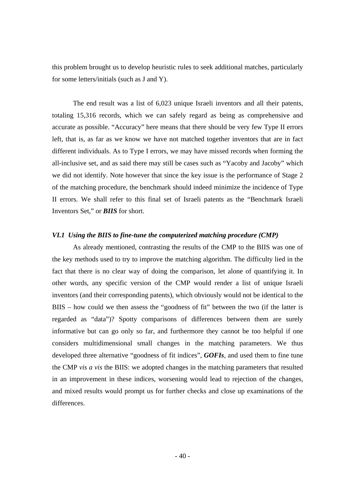this problem brought us to develop heuristic rules to seek additional matches, particularly for some letters/initials (such as J and Y).

 The end result was a list of 6,023 unique Israeli inventors and all their patents, totaling 15,316 records, which we can safely regard as being as comprehensive and accurate as possible. "Accuracy" here means that there should be very few Type II errors left, that is, as far as we know we have not matched together inventors that are in fact different individuals. As to Type I errors, we may have missed records when forming the all-inclusive set, and as said there may still be cases such as "Yacoby and Jacoby" which we did not identify. Note however that since the key issue is the performance of Stage 2 of the matching procedure, the benchmark should indeed minimize the incidence of Type II errors. We shall refer to this final set of Israeli patents as the "Benchmark Israeli Inventors Set," or *BIIS* for short.

#### *VI.1 Using the BIIS to fine-tune the computerized matching procedure (CMP)*

As already mentioned, contrasting the results of the CMP to the BIIS was one of the key methods used to try to improve the matching algorithm. The difficulty lied in the fact that there is no clear way of doing the comparison, let alone of quantifying it. In other words, any specific version of the CMP would render a list of unique Israeli inventors (and their corresponding patents), which obviously would not be identical to the BIIS – how could we then assess the "goodness of fit" between the two (if the latter is regarded as "data")? Spotty comparisons of differences between them are surely informative but can go only so far, and furthermore they cannot be too helpful if one considers multidimensional small changes in the matching parameters. We thus developed three alternative "goodness of fit indices", *GOFIs*, and used them to fine tune the CMP *vis a vis* the BIIS: we adopted changes in the matching parameters that resulted in an improvement in these indices, worsening would lead to rejection of the changes, and mixed results would prompt us for further checks and close up examinations of the differences.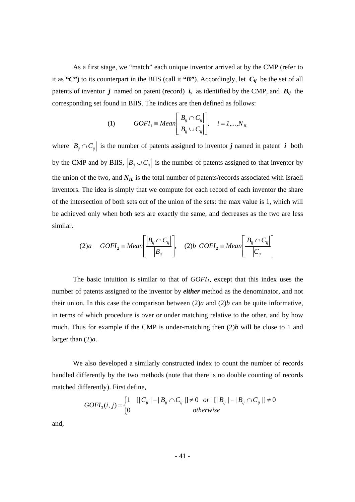As a first stage, we "match" each unique inventor arrived at by the CMP (refer to it as *"C"*) to its counterpart in the BIIS (call it *"B"*). Accordingly, let *Cij* be the set of all patents of inventor *j* named on patent (record) *i*, as identified by the CMP, and  $B_{ij}$  the corresponding set found in BIIS. The indices are then defined as follows:

(1) 
$$
GOFI_1 \equiv Mean \left[ \frac{|B_{ij} \cap C_{ij}|}{|B_{ij} \cup C_{ij}|} \right], \quad i = 1,...,N_{IL}
$$

where  $\left|B_{ij} \cap C_{ij}\right|$  is the number of patents assigned to inventor *j* named in patent *i* both by the CMP and by BIIS,  $|B_{ij} \cup C_{ij}|$  is the number of patents assigned to that inventor by the union of the two, and  $N_{IL}$  is the total number of patents/records associated with Israeli inventors. The idea is simply that we compute for each record of each inventor the share of the intersection of both sets out of the union of the sets: the max value is 1, which will be achieved only when both sets are exactly the same, and decreases as the two are less similar.

$$
(2)a \quad GOFI_2 \equiv Mean \left[ \frac{|B_{ij} \cap C_{ij}|}{|B_{ij}|} \right], \quad (2)b \; GOFI_2 \equiv Mean \left[ \frac{|B_{ij} \cap C_{ij}|}{|C_{ij}|} \right]
$$

The basic intuition is similar to that of *GOFI<sub>1</sub>*, except that this index uses the number of patents assigned to the inventor by *either* method as the denominator, and not their union. In this case the comparison between  $(2)a$  and  $(2)b$  can be quite informative, in terms of which procedure is over or under matching relative to the other, and by how much. Thus for example if the CMP is under-matching then (2)*b* will be close to 1 and larger than (2)*a*.

 We also developed a similarly constructed index to count the number of records handled differently by the two methods (note that there is no double counting of records matched differently). First define,

$$
GOFI_{3}(i, j) = \begin{cases} 1 & \left[ |C_{ij}| - |B_{ij} \cap C_{ij}| \right] \neq 0 \quad \text{or} \quad \left[ |B_{ij}| - |B_{ij} \cap C_{ij}| \right] \neq 0 \\ 0 & \text{otherwise} \end{cases}
$$

and,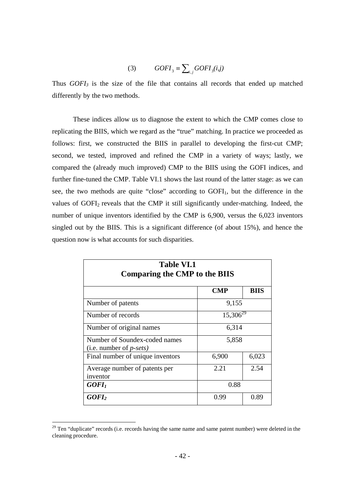$$
(3) \qquad GOFI_3 \equiv \sum_{i,j} GOFI_3(i,j)
$$

Thus *GOFI3* is the size of the file that contains all records that ended up matched differently by the two methods.

These indices allow us to diagnose the extent to which the CMP comes close to replicating the BIIS, which we regard as the "true" matching. In practice we proceeded as follows: first, we constructed the BIIS in parallel to developing the first-cut CMP; second, we tested, improved and refined the CMP in a variety of ways; lastly, we compared the (already much improved) CMP to the BIIS using the GOFI indices, and further fine-tuned the CMP. Table VI.1 shows the last round of the latter stage: as we can see, the two methods are quite "close" according to GOFI<sub>1</sub>, but the difference in the values of GOFI<sub>2</sub> reveals that the CMP it still significantly under-matching. Indeed, the number of unique inventors identified by the CMP is 6,900, versus the 6,023 inventors singled out by the BIIS. This is a significant difference (of about 15%), and hence the question now is what accounts for such disparities.

| <b>Table VI.1</b><br><b>Comparing the CMP to the BIIS</b>         |               |             |  |
|-------------------------------------------------------------------|---------------|-------------|--|
|                                                                   | <b>CMP</b>    | <b>BIIS</b> |  |
| Number of patents                                                 | 9,155         |             |  |
| Number of records                                                 | $15,306^{29}$ |             |  |
| Number of original names                                          | 6,314         |             |  |
| Number of Soundex-coded names<br>(i.e. number of $p\text{-}sets)$ | 5,858         |             |  |
| Final number of unique inventors                                  | 6,900         | 6,023       |  |
| Average number of patents per<br>inventor                         | 2.21          | 2.54        |  |
| GOFI <sub>1</sub>                                                 | 0.88          |             |  |
| GOFI <sub>2</sub>                                                 | 0.99          | 0.89        |  |

 $29$  Ten "duplicate" records (i.e. records having the same name and same patent number) were deleted in the cleaning procedure.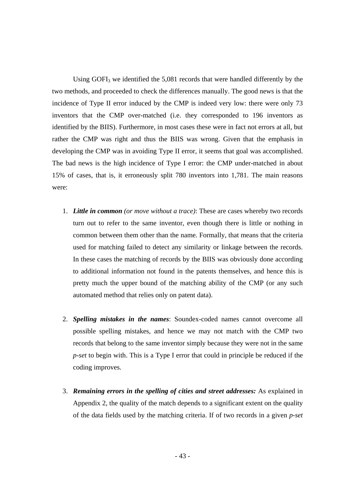Using GOFI<sub>3</sub> we identified the 5,081 records that were handled differently by the two methods, and proceeded to check the differences manually. The good news is that the incidence of Type II error induced by the CMP is indeed very low: there were only 73 inventors that the CMP over-matched (i.e. they corresponded to 196 inventors as identified by the BIIS). Furthermore, in most cases these were in fact not errors at all, but rather the CMP was right and thus the BIIS was wrong. Given that the emphasis in developing the CMP was in avoiding Type II error, it seems that goal was accomplished. The bad news is the high incidence of Type I error: the CMP under-matched in about 15% of cases, that is, it erroneously split 780 inventors into 1,781. The main reasons were:

- 1. *Little in common (or move without a trace)*: These are cases whereby two records turn out to refer to the same inventor, even though there is little or nothing in common between them other than the name. Formally, that means that the criteria used for matching failed to detect any similarity or linkage between the records. In these cases the matching of records by the BIIS was obviously done according to additional information not found in the patents themselves, and hence this is pretty much the upper bound of the matching ability of the CMP (or any such automated method that relies only on patent data).
- 2. *Spelling mistakes in the names*: Soundex-coded names cannot overcome all possible spelling mistakes, and hence we may not match with the CMP two records that belong to the same inventor simply because they were not in the same *p-set* to begin with. This is a Type I error that could in principle be reduced if the coding improves.
- 3. *Remaining errors in the spelling of cities and street addresses:* As explained in Appendix 2, the quality of the match depends to a significant extent on the quality of the data fields used by the matching criteria. If of two records in a given *p-set*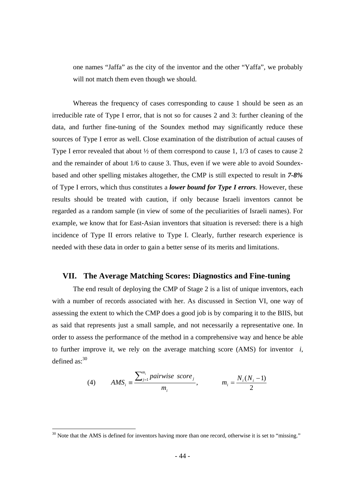one names "Jaffa" as the city of the inventor and the other "Yaffa", we probably will not match them even though we should.

Whereas the frequency of cases corresponding to cause 1 should be seen as an irreducible rate of Type I error, that is not so for causes 2 and 3: further cleaning of the data, and further fine-tuning of the Soundex method may significantly reduce these sources of Type I error as well. Close examination of the distribution of actual causes of Type I error revealed that about ½ of them correspond to cause 1, 1/3 of cases to cause 2 and the remainder of about 1/6 to cause 3. Thus, even if we were able to avoid Soundexbased and other spelling mistakes altogether, the CMP is still expected to result in *7-8%* of Type I errors, which thus constitutes a *lower bound for Type I errors*. However, these results should be treated with caution, if only because Israeli inventors cannot be regarded as a random sample (in view of some of the peculiarities of Israeli names). For example, we know that for East-Asian inventors that situation is reversed: there is a high incidence of Type II errors relative to Type I. Clearly, further research experience is needed with these data in order to gain a better sense of its merits and limitations.

#### **VII. The Average Matching Scores: Diagnostics and Fine-tuning**

The end result of deploying the CMP of Stage 2 is a list of unique inventors, each with a number of records associated with her. As discussed in Section VI, one way of assessing the extent to which the CMP does a good job is by comparing it to the BIIS, but as said that represents just a small sample, and not necessarily a representative one. In order to assess the performance of the method in a comprehensive way and hence be able to further improve it, we rely on the average matching score (AMS) for inventor *i*, defined  $as.30$ 

(4) 
$$
AMS_i \equiv \frac{\sum_{j=1}^{m_i} pairwise\ score_j}{m_i}, \qquad m_i = \frac{N_i(N_i - 1)}{2}
$$

 $30$  Note that the AMS is defined for inventors having more than one record, otherwise it is set to "missing."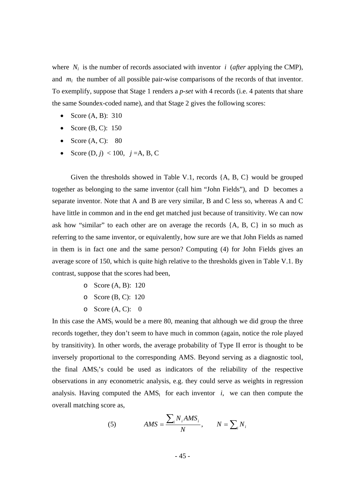where  $N_i$  is the number of records associated with inventor *i* (*after* applying the CMP), and  $m_i$  the number of all possible pair-wise comparisons of the records of that inventor. To exemplify, suppose that Stage 1 renders a *p-set* with 4 records (i.e. 4 patents that share the same Soundex-coded name), and that Stage 2 gives the following scores:

- Score (A, B): 310
- Score  $(B, C)$ : 150
- Score  $(A, C)$ : 80
- Score  $(D, j)$  < 100,  $j = A, B, C$

Given the thresholds showed in Table V.1, records {A, B, C} would be grouped together as belonging to the same inventor (call him "John Fields"), and D becomes a separate inventor. Note that A and B are very similar, B and C less so, whereas A and C have little in common and in the end get matched just because of transitivity. We can now ask how "similar" to each other are on average the records {A, B, C} in so much as referring to the same inventor, or equivalently, how sure are we that John Fields as named in them is in fact one and the same person? Computing (4) for John Fields gives an average score of 150, which is quite high relative to the thresholds given in Table V.1. By contrast, suppose that the scores had been,

- o Score (A, B): 120
- o Score (B, C): 120
- o Score  $(A, C)$ : 0

In this case the  $AMS_i$  would be a mere 80, meaning that although we did group the three records together, they don't seem to have much in common (again, notice the role played by transitivity). In other words, the average probability of Type II error is thought to be inversely proportional to the corresponding AMS. Beyond serving as a diagnostic tool, the final  $AMS_i$ 's could be used as indicators of the reliability of the respective observations in any econometric analysis, e.g. they could serve as weights in regression analysis. Having computed the  $AMS_i$  for each inventor *i*, we can then compute the overall matching score as,

(5) 
$$
AMS = \frac{\sum_{i} N_{i} AMS_{i}}{N}, \qquad N = \sum_{i} N_{i}
$$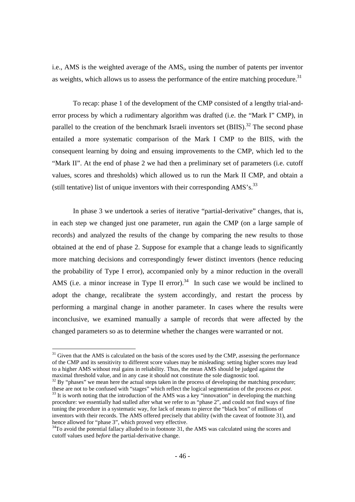i.e., AMS is the weighted average of the AMSi, using the number of patents per inventor as weights, which allows us to assess the performance of the entire matching procedure.<sup>31</sup>

 To recap: phase 1 of the development of the CMP consisted of a lengthy trial-anderror process by which a rudimentary algorithm was drafted (i.e. the "Mark I" CMP), in parallel to the creation of the benchmark Israeli inventors set  $(BIIS)$ .<sup>32</sup> The second phase entailed a more systematic comparison of the Mark I CMP to the BIIS, with the consequent learning by doing and ensuing improvements to the CMP, which led to the "Mark II". At the end of phase 2 we had then a preliminary set of parameters (i.e. cutoff values, scores and thresholds) which allowed us to run the Mark II CMP, and obtain a (still tentative) list of unique inventors with their corresponding  $AMS's$ .<sup>33</sup>

In phase 3 we undertook a series of iterative "partial-derivative" changes, that is, in each step we changed just one parameter, run again the CMP (on a large sample of records) and analyzed the results of the change by comparing the new results to those obtained at the end of phase 2. Suppose for example that a change leads to significantly more matching decisions and correspondingly fewer distinct inventors (hence reducing the probability of Type I error), accompanied only by a minor reduction in the overall AMS (i.e. a minor increase in Type II error).<sup>34</sup> In such case we would be inclined to adopt the change, recalibrate the system accordingly, and restart the process by performing a marginal change in another parameter. In cases where the results were inconclusive, we examined manually a sample of records that were affected by the changed parameters so as to determine whether the changes were warranted or not.

 $32$  By "phases" we mean here the actual steps taken in the process of developing the matching procedure; these are not to be confused with "stages" which reflect the logical segmentation of the process *ex post*.

<sup>33</sup> It is worth noting that the introduction of the AMS was a key "innovation" in developing the matching procedure: we essentially had stalled after what we refer to as "phase 2", and could not find ways of fine tuning the procedure in a systematic way, for lack of means to pierce the "black box" of millions of inventors with their records. The AMS offered precisely that ability (with the caveat of footnote 31), and hence allowed for "phase 3", which proved very effective.

<sup>&</sup>lt;sup>31</sup> Given that the AMS is calculated on the basis of the scores used by the CMP, assessing the performance of the CMP and its sensitivity to different score values may be misleading: setting higher scores may lead to a higher AMS without real gains in reliability. Thus, the mean AMS should be judged against the maximal threshold value, and in any case it should not constitute the sole diagnostic tool.

<sup>&</sup>lt;sup>34</sup>To avoid the potential fallacy alluded to in footnote 31, the AMS was calculated using the scores and cutoff values used *before* the partial-derivative change.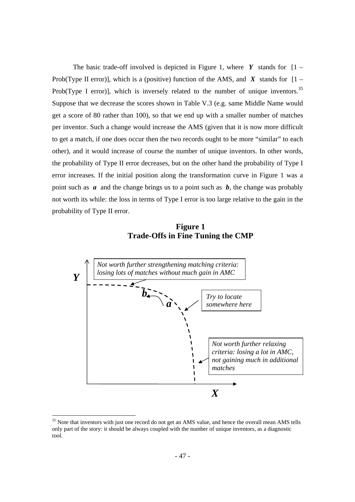The basic trade-off involved is depicted in Figure 1, where  $Y$  stands for  $[1 -$ Prob(Type II error)], which is a (positive) function of the AMS, and  $\overline{X}$  stands for  $[1 -$ Prob(Type I error), which is inversely related to the number of unique inventors.<sup>35</sup> Suppose that we decrease the scores shown in Table V.3 (e.g. same Middle Name would get a score of 80 rather than 100), so that we end up with a smaller number of matches per inventor. Such a change would increase the AMS (given that it is now more difficult to get a match, if one does occur then the two records ought to be more "similar" to each other), and it would increase of course the number of unique inventors. In other words, the probability of Type II error decreases, but on the other hand the probability of Type I error increases. If the initial position along the transformation curve in Figure 1 was a point such as *a* and the change brings us to a point such as *b*, the change was probably not worth its while: the loss in terms of Type I error is too large relative to the gain in the probability of Type II error.

 **Figure 1 Trade-Offs in Fine Tuning the CMP** 



 $35$  Note that inventors with just one record do not get an AMS value, and hence the overall mean AMS tells only part of the story: it should be always coupled with the number of unique inventors, as a diagnostic tool.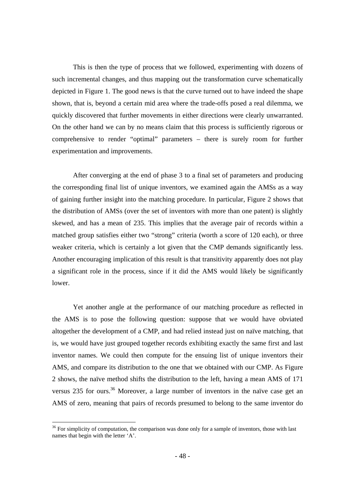This is then the type of process that we followed, experimenting with dozens of such incremental changes, and thus mapping out the transformation curve schematically depicted in Figure 1. The good news is that the curve turned out to have indeed the shape shown, that is, beyond a certain mid area where the trade-offs posed a real dilemma, we quickly discovered that further movements in either directions were clearly unwarranted. On the other hand we can by no means claim that this process is sufficiently rigorous or comprehensive to render "optimal" parameters – there is surely room for further experimentation and improvements.

After converging at the end of phase 3 to a final set of parameters and producing the corresponding final list of unique inventors, we examined again the AMSs as a way of gaining further insight into the matching procedure. In particular, Figure 2 shows that the distribution of AMSs (over the set of inventors with more than one patent) is slightly skewed, and has a mean of 235. This implies that the average pair of records within a matched group satisfies either two "strong" criteria (worth a score of 120 each), or three weaker criteria, which is certainly a lot given that the CMP demands significantly less. Another encouraging implication of this result is that transitivity apparently does not play a significant role in the process, since if it did the AMS would likely be significantly lower.

Yet another angle at the performance of our matching procedure as reflected in the AMS is to pose the following question: suppose that we would have obviated altogether the development of a CMP, and had relied instead just on naïve matching, that is, we would have just grouped together records exhibiting exactly the same first and last inventor names. We could then compute for the ensuing list of unique inventors their AMS, and compare its distribution to the one that we obtained with our CMP. As Figure 2 shows, the naïve method shifts the distribution to the left, having a mean AMS of 171 versus 235 for ours.<sup>36</sup> Moreover, a large number of inventors in the naïve case get an AMS of zero, meaning that pairs of records presumed to belong to the same inventor do

 $36$  For simplicity of computation, the comparison was done only for a sample of inventors, those with last names that begin with the letter 'A'.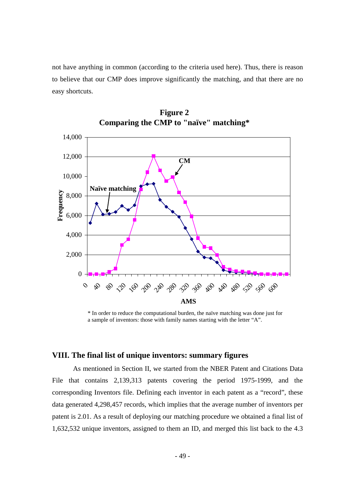not have anything in common (according to the criteria used here). Thus, there is reason to believe that our CMP does improve significantly the matching, and that there are no easy shortcuts.





\* In order to reduce the computational burden, the naïve matching was done just for a sample of inventors: those with family names starting with the letter "A".

# **VIII. The final list of unique inventors: summary figures**

As mentioned in Section II, we started from the NBER Patent and Citations Data File that contains 2,139,313 patents covering the period 1975-1999, and the corresponding Inventors file. Defining each inventor in each patent as a "record", these data generated 4,298,457 records, which implies that the average number of inventors per patent is 2.01. As a result of deploying our matching procedure we obtained a final list of 1,632,532 unique inventors, assigned to them an ID, and merged this list back to the 4.3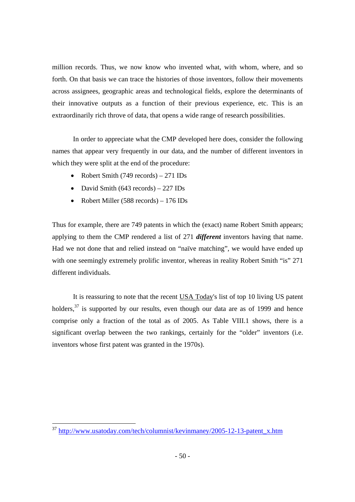million records. Thus, we now know who invented what, with whom, where, and so forth. On that basis we can trace the histories of those inventors, follow their movements across assignees, geographic areas and technological fields, explore the determinants of their innovative outputs as a function of their previous experience, etc. This is an extraordinarily rich throve of data, that opens a wide range of research possibilities.

In order to appreciate what the CMP developed here does, consider the following names that appear very frequently in our data, and the number of different inventors in which they were split at the end of the procedure:

- Robert Smith (749 records) 271 IDs
- David Smith (643 records) 227 IDs
- Robert Miller (588 records) 176 IDs

Thus for example, there are 749 patents in which the (exact) name Robert Smith appears; applying to them the CMP rendered a list of 271 *different* inventors having that name. Had we not done that and relied instead on "naïve matching", we would have ended up with one seemingly extremely prolific inventor, whereas in reality Robert Smith "is" 271 different individuals.

It is reassuring to note that the recent USA Today's list of top 10 living US patent holders,<sup>37</sup> is supported by our results, even though our data are as of 1999 and hence comprise only a fraction of the total as of 2005. As Table VIII.1 shows, there is a significant overlap between the two rankings, certainly for the "older" inventors (i.e. inventors whose first patent was granted in the 1970s).

<sup>&</sup>lt;sup>37</sup> http://www.usatoday.com/tech/columnist/kevinmaney/2005-12-13-patent\_x.htm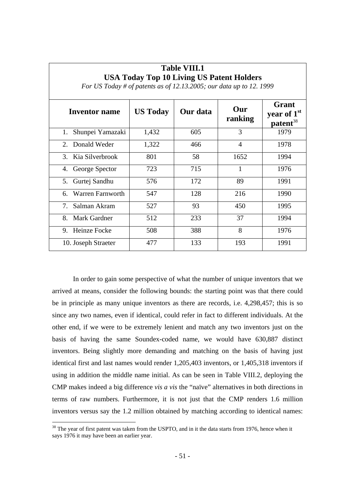| USA Today Top IV Living US Patent Holders<br>For US Today # of patents as of 12.13.2005; our data up to 12.1999 |                 |          |                |                                                          |  |
|-----------------------------------------------------------------------------------------------------------------|-----------------|----------|----------------|----------------------------------------------------------|--|
| <b>Inventor name</b>                                                                                            | <b>US Today</b> | Our data | Our<br>ranking | Grant<br>year of 1 <sup>st</sup><br>patent <sup>38</sup> |  |
| Shunpei Yamazaki<br>1.                                                                                          | 1,432           | 605      | 3              | 1979                                                     |  |
| 2. Donald Weder                                                                                                 | 1,322           | 466      | $\overline{4}$ | 1978                                                     |  |
| 3. Kia Silverbrook                                                                                              | 801             | 58       | 1652           | 1994                                                     |  |
| George Spector<br>4.                                                                                            | 723             | 715      | 1              | 1976                                                     |  |
| Gurtej Sandhu<br>5.                                                                                             | 576             | 172      | 89             | 1991                                                     |  |
| Warren Farnworth<br>6.                                                                                          | 547             | 128      | 216            | 1990                                                     |  |
| $7_{\scriptscriptstyle{\ddots}}$<br>Salman Akram                                                                | 527             | 93       | 450            | 1995                                                     |  |
| Mark Gardner<br>8.                                                                                              | 512             | 233      | 37             | 1994                                                     |  |
| Heinze Focke<br>9.                                                                                              | 508             | 388      | 8              | 1976                                                     |  |
| 10. Joseph Straeter                                                                                             | 477             | 133      | 193            | 1991                                                     |  |

# **Table VIII.1 USA Today Top 10 Living US Patent Holders**

In order to gain some perspective of what the number of unique inventors that we arrived at means, consider the following bounds: the starting point was that there could be in principle as many unique inventors as there are records, i.e. 4,298,457; this is so since any two names, even if identical, could refer in fact to different individuals. At the other end, if we were to be extremely lenient and match any two inventors just on the basis of having the same Soundex-coded name, we would have 630,887 distinct inventors. Being slightly more demanding and matching on the basis of having just identical first and last names would render 1,205,403 inventors, or 1,405,318 inventors if using in addition the middle name initial. As can be seen in Table VIII.2, deploying the CMP makes indeed a big difference *vis a vis* the "naïve" alternatives in both directions in terms of raw numbers. Furthermore, it is not just that the CMP renders 1.6 million inventors versus say the 1.2 million obtained by matching according to identical names:

 $38$  The year of first patent was taken from the USPTO, and in it the data starts from 1976, hence when it says 1976 it may have been an earlier year.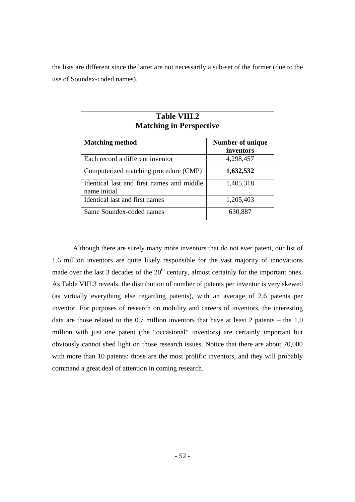the lists are different since the latter are not necessarily a sub-set of the former (due to the use of Soundex-coded names).

| <b>Table VIII.2</b><br><b>Matching in Perspective</b>     |                               |  |  |
|-----------------------------------------------------------|-------------------------------|--|--|
| <b>Matching method</b>                                    | Number of unique<br>inventors |  |  |
| Each record a different inventor                          | 4,298,457                     |  |  |
| Computerized matching procedure (CMP)                     | 1,632,532                     |  |  |
| Identical last and first names and middle<br>name initial | 1,405,318                     |  |  |
| Identical last and first names                            | 1,205,403                     |  |  |
| Same Soundex-coded names                                  | 630,887                       |  |  |

Although there are surely many more inventors that do not ever patent, our list of 1.6 million inventors are quite likely responsible for the vast majority of innovations made over the last 3 decades of the  $20<sup>th</sup>$  century, almost certainly for the important ones. As Table VIII.3 reveals, the distribution of number of patents per inventor is very skewed (as virtually everything else regarding patents), with an average of 2.6 patents per inventor. For purposes of research on mobility and careers of inventors, the interesting data are those related to the  $0.7$  million inventors that have at least 2 patents – the  $1.0$ million with just one patent (the "occasional" inventors) are certainly important but obviously cannot shed light on those research issues. Notice that there are about 70,000 with more than 10 patents: those are the most prolific inventors, and they will probably command a great deal of attention in coming research.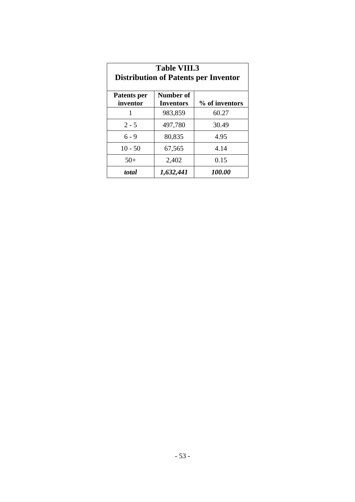| <b>Table VIII.3</b><br><b>Distribution of Patents per Inventor</b> |                               |                |  |
|--------------------------------------------------------------------|-------------------------------|----------------|--|
| <b>Patents per</b><br>inventor                                     | Number of<br><b>Inventors</b> | % of inventors |  |
| 1                                                                  | 983,859                       | 60.27          |  |
| $2 - 5$                                                            | 497,780                       | 30.49          |  |
| $6 - 9$                                                            | 80,835                        | 4.95           |  |
| $10 - 50$                                                          | 67,565                        | 4.14           |  |
| $50+$                                                              | 2,402                         | 0.15           |  |
| total                                                              | 1,632,441                     | <i>100.00</i>  |  |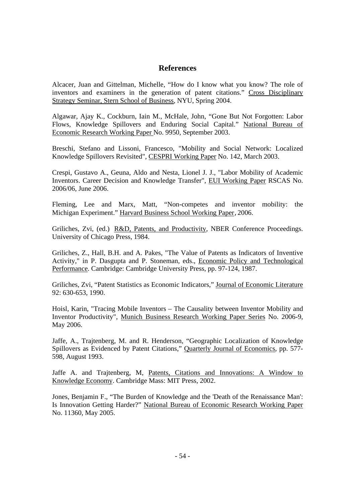# **References**

Alcacer, Juan and Gittelman, Michelle, "How do I know what you know? The role of inventors and examiners in the generation of patent citations." Cross Disciplinary Strategy Seminar, Stern School of Business, NYU, Spring 2004.

Algawar, Ajay K., Cockburn, Iain M., McHale, John, "Gone But Not Forgotten: Labor Flows, Knowledge Spillovers and Enduring Social Capital." National Bureau of Economic Research Working Paper No. 9950, September 2003.

Breschi, Stefano and Lissoni, Francesco, "Mobility and Social Network: Localized Knowledge Spillovers Revisited", CESPRI Working Paper No. 142, March 2003.

Crespi, Gustavo A., Geuna, Aldo and Nesta, Lionel J. J., "Labor Mobility of Academic Inventors. Career Decision and Knowledge Transfer", EUI Working Paper RSCAS No. 2006/06, June 2006.

Fleming, Lee and Marx, Matt, "Non-competes and inventor mobility: the Michigan Experiment." Harvard Business School Working Paper,2006.

Griliches, Zvi, (ed.) R&D, Patents, and Productivity, NBER Conference Proceedings. University of Chicago Press, 1984.

Griliches, Z., Hall, B.H. and A. Pakes, "The Value of Patents as Indicators of Inventive Activity," in P. Dasgupta and P. Stoneman, eds., Economic Policy and Technological Performance. Cambridge: Cambridge University Press, pp. 97-124, 1987.

Griliches, Zvi, "Patent Statistics as Economic Indicators," Journal of Economic Literature 92: 630-653, 1990.

Hoisl, Karin, "Tracing Mobile Inventors – The Causality between Inventor Mobility and Inventor Productivity", Munich Business Research Working Paper Series No. 2006-9, May 2006.

Jaffe, A., Trajtenberg, M. and R. Henderson, "Geographic Localization of Knowledge Spillovers as Evidenced by Patent Citations," Quarterly Journal of Economics, pp. 577- 598, August 1993.

Jaffe A. and Trajtenberg, M, Patents, Citations and Innovations: A Window to Knowledge Economy. Cambridge Mass: MIT Press, 2002.

Jones, Benjamin F., "The Burden of Knowledge and the 'Death of the Renaissance Man': Is Innovation Getting Harder?" National Bureau of Economic Research Working Paper No. 11360, May 2005.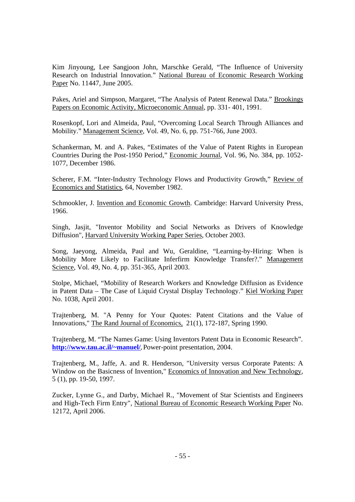Kim Jinyoung, Lee Sangjoon John, Marschke Gerald, "The Influence of University Research on Industrial Innovation." National Bureau of Economic Research Working Paper No. 11447, June 2005.

Pakes, Ariel and Simpson, Margaret, "The Analysis of Patent Renewal Data." Brookings Papers on Economic Activity, Microeconomic Annual, pp. 331- 401, 1991.

Rosenkopf, Lori and Almeida, Paul, "Overcoming Local Search Through Alliances and Mobility." Management Science, Vol. 49, No. 6, pp. 751-766, June 2003.

Schankerman, M. and A. Pakes, "Estimates of the Value of Patent Rights in European Countries During the Post-1950 Period," Economic Journal, Vol. 96, No. 384, pp. 1052- 1077, December 1986.

Scherer, F.M. "Inter-Industry Technology Flows and Productivity Growth," Review of Economics and Statistics, 64, November 1982.

Schmookler, J. Invention and Economic Growth. Cambridge: Harvard University Press, 1966.

Singh, Jasjit, "Inventor Mobility and Social Networks as Drivers of Knowledge Diffusion", Harvard University Working Paper Series, October 2003.

Song, Jaeyong, Almeida, Paul and Wu, Geraldine, "Learning-by-Hiring: When is Mobility More Likely to Facilitate Inferfirm Knowledge Transfer?." Management Science, Vol. 49, No. 4, pp. 351-365, April 2003.

Stolpe, Michael, "Mobility of Research Workers and Knowledge Diffusion as Evidence in Patent Data – The Case of Liquid Crystal Display Technology." Kiel Working Paper No. 1038, April 2001.

Trajtenberg, M. "A Penny for Your Quotes: Patent Citations and the Value of Innovations," The Rand Journal of Economics, 21(1), 172-187, Spring 1990.

Trajtenberg, M. "The Names Game: Using Inventors Patent Data in Economic Research". **http://www.tau.ac.il/~manuel/,** Power-point presentation, 2004.

Trajtenberg, M., Jaffe, A. and R. Henderson, "University versus Corporate Patents: A Window on the Basicness of Invention," Economics of Innovation and New Technology, 5 (1), pp. 19-50, 1997.

Zucker, Lynne G., and Darby, Michael R., "Movement of Star Scientists and Engineers and High-Tech Firm Entry", National Bureau of Economic Research Working Paper No. 12172, April 2006.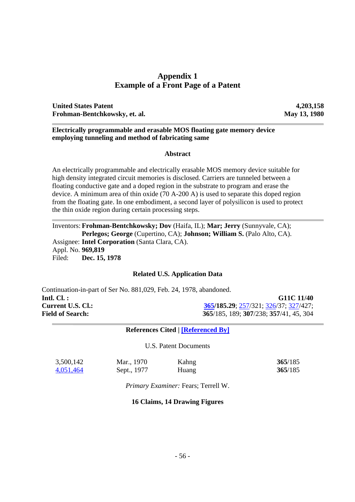# **Appendix 1 Example of a Front Page of a Patent**

**United States Patent 4,203,158 Frohman-Bentchkowsky, et. al. May 13, 1980** 

## **Electrically programmable and erasable MOS floating gate memory device employing tunneling and method of fabricating same**

# **Abstract**

An electrically programmable and electrically erasable MOS memory device suitable for high density integrated circuit memories is disclosed. Carriers are tunneled between a floating conductive gate and a doped region in the substrate to program and erase the device. A minimum area of thin oxide (70 A-200 A) is used to separate this doped region from the floating gate. In one embodiment, a second layer of polysilicon is used to protect the thin oxide region during certain processing steps.

Inventors: **Frohman-Bentchkowsky; Dov** (Haifa, IL); **Mar; Jerry** (Sunnyvale, CA); **Perlegos; George** (Cupertino, CA); **Johnson; William S.** (Palo Alto, CA). Assignee: **Intel Corporation** (Santa Clara, CA). Appl. No. **969,819** Filed: **Dec. 15, 1978**

# **Related U.S. Application Data**

Continuation-in-part of Ser No. 881,029, Feb. 24, 1978, abandoned. **Intl. Cl. :** G11C 11/40 **Current U.S. Cl.:** 365/185.29; 257/321; 326/37; 327/427; **Field of Search: 365**/185, 189; **307**/238; **357**/41, 45, 304

# **References Cited | [Referenced By]**

U.S. Patent Documents

| 3,500,142 | Mar., 1970  | Kahng | 365/185 |
|-----------|-------------|-------|---------|
| 4,051,464 | Sept., 1977 | Huang | 365/185 |

*Primary Examiner:* Fears; Terrell W.

# **16 Claims, 14 Drawing Figures**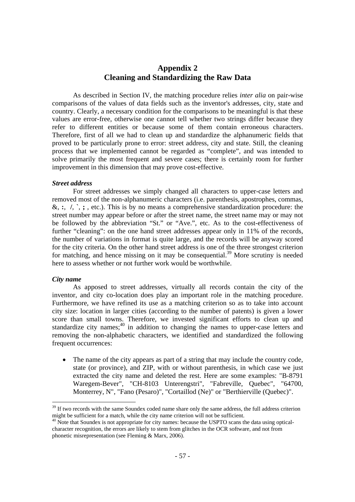# **Appendix 2 Cleaning and Standardizing the Raw Data**

As described in Section IV, the matching procedure relies *inter alia* on pair-wise comparisons of the values of data fields such as the inventor's addresses, city, state and country. Clearly, a necessary condition for the comparisons to be meaningful is that these values are error-free, otherwise one cannot tell whether two strings differ because they refer to different entities or because some of them contain erroneous characters. Therefore, first of all we had to clean up and standardize the alphanumeric fields that proved to be particularly prone to error: street address, city and state. Still, the cleaning process that we implemented cannot be regarded as "complete", and was intended to solve primarily the most frequent and severe cases; there is certainly room for further improvement in this dimension that may prove cost-effective.

#### *Street address*

For street addresses we simply changed all characters to upper-case letters and removed most of the non-alphanumeric characters (i.e. parenthesis, apostrophes, commas, &, **:**, **/**, **`**, **;** , etc.). This is by no means a comprehensive standardization procedure: the street number may appear before or after the street name, the street name may or may not be followed by the abbreviation "St." or "Ave.", etc. As to the cost-effectiveness of further "cleaning": on the one hand street addresses appear only in 11% of the records, the number of variations in format is quite large, and the records will be anyway scored for the city criteria. On the other hand street address is one of the three strongest criterion for matching, and hence missing on it may be consequential.<sup>39</sup> More scrutiny is needed here to assess whether or not further work would be worthwhile.

#### *City name*

As apposed to street addresses, virtually all records contain the city of the inventor, and city co-location does play an important role in the matching procedure. Furthermore, we have refined its use as a matching criterion so as to take into account city size: location in larger cities (according to the number of patents) is given a lower score than small towns. Therefore, we invested significant efforts to clean up and standardize city names; $40$  in addition to changing the names to upper-case letters and removing the non-alphabetic characters, we identified and standardized the following frequent occurrences:

• The name of the city appears as part of a string that may include the country code, state (or province), and ZIP, with or without parenthesis, in which case we just extracted the city name and deleted the rest. Here are some examples: "B-8791 Waregem-Bever", "CH-8103 Unterengstri", "Fabreville, Quebec", "64700, Monterrey, N", "Fano (Pesaro)", "Cortaillod (Ne)" or "Berthierville (Quebec)".

<sup>&</sup>lt;sup>39</sup> If two records with the same Soundex coded name share only the same address, the full address criterion might be sufficient for a match, while the city name criterion will not be sufficient.

<sup>&</sup>lt;sup>40</sup> Note that Soundex is not appropriate for city names: because the USPTO scans the data using opticalcharacter recognition, the errors are likely to stem from glitches in the OCR software, and not from phonetic misrepresentation (see Fleming & Marx, 2006).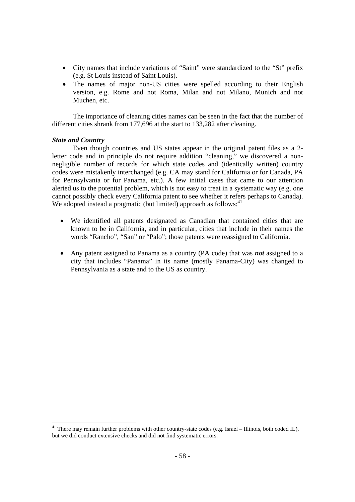- City names that include variations of "Saint" were standardized to the "St" prefix (e.g. St Louis instead of Saint Louis).
- The names of major non-US cities were spelled according to their English version, e.g. Rome and not Roma, Milan and not Milano, Munich and not Muchen, etc.

The importance of cleaning cities names can be seen in the fact that the number of different cities shrank from 177,696 at the start to 133,282 after cleaning.

#### *State and Country*

Even though countries and US states appear in the original patent files as a 2 letter code and in principle do not require addition "cleaning," we discovered a nonnegligible number of records for which state codes and (identically written) country codes were mistakenly interchanged (e.g. CA may stand for California or for Canada, PA for Pennsylvania or for Panama, etc.). A few initial cases that came to our attention alerted us to the potential problem, which is not easy to treat in a systematic way (e.g. one cannot possibly check every California patent to see whether it refers perhaps to Canada). We adopted instead a pragmatic (but limited) approach as follows: $41$ 

- We identified all patents designated as Canadian that contained cities that are known to be in California, and in particular, cities that include in their names the words "Rancho", "San" or "Palo"; those patents were reassigned to California.
- Any patent assigned to Panama as a country (PA code) that was *not* assigned to a city that includes "Panama" in its name (mostly Panama-City) was changed to Pennsylvania as a state and to the US as country.

 $41$  There may remain further problems with other country-state codes (e.g. Israel – Illinois, both coded IL), but we did conduct extensive checks and did not find systematic errors.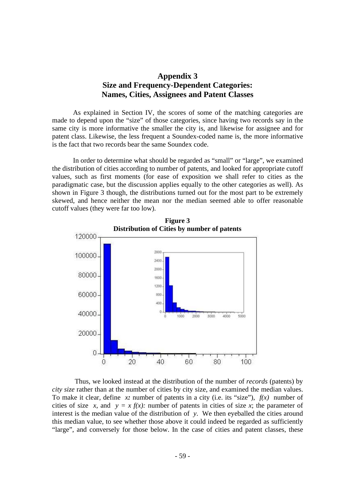# **Appendix 3 Size and Frequency-Dependent Categories: Names, Cities, Assignees and Patent Classes**

As explained in Section IV, the scores of some of the matching categories are made to depend upon the "size" of those categories, since having two records say in the same city is more informative the smaller the city is, and likewise for assignee and for patent class. Likewise, the less frequent a Soundex-coded name is, the more informative is the fact that two records bear the same Soundex code.

In order to determine what should be regarded as "small" or "large", we examined the distribution of cities according to number of patents, and looked for appropriate cutoff values, such as first moments (for ease of exposition we shall refer to cities as the paradigmatic case, but the discussion applies equally to the other categories as well). As shown in Figure 3 though, the distributions turned out for the most part to be extremely skewed, and hence neither the mean nor the median seemed able to offer reasonable cutoff values (they were far too low).



**Figure 3** 

 Thus, we looked instead at the distribution of the number of *records* (patents) by *city size* rather than at the number of cities by city size, and examined the median values. To make it clear, define *x:* number of patents in a city (i.e. its "size"), *f(x)* number of cities of size *x*, and  $y = x f(x)$ : number of patents in cities of size *x*; the parameter of interest is the median value of the distribution of *y*. We then eyeballed the cities around this median value, to see whether those above it could indeed be regarded as sufficiently "large", and conversely for those below. In the case of cities and patent classes, these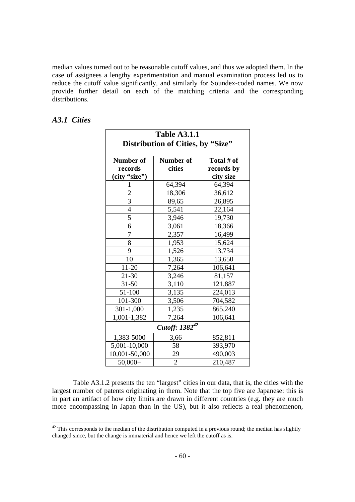median values turned out to be reasonable cutoff values, and thus we adopted them. In the case of assignees a lengthy experimentation and manual examination process led us to reduce the cutoff value significantly, and similarly for Soundex-coded names. We now provide further detail on each of the matching criteria and the corresponding distributions.

| <b>Table A3.1.1</b><br>Distribution of Cities, by "Size" |                |            |  |  |
|----------------------------------------------------------|----------------|------------|--|--|
| Number of                                                | Number of      | Total # of |  |  |
| records                                                  | cities         | records by |  |  |
| (city "size")                                            |                | city size  |  |  |
| 1                                                        | 64,394         | 64,394     |  |  |
|                                                          | 18,306         | 36,612     |  |  |
| $rac{2}{3}$                                              | 89,65          | 26,895     |  |  |
| $\overline{4}$                                           | 5,541          | 22,164     |  |  |
| $\overline{5}$                                           | 3,946          | 19,730     |  |  |
| 6                                                        | 3,061          | 18,366     |  |  |
| $\overline{7}$                                           | 2,357          | 16,499     |  |  |
| 8                                                        | 1,953          | 15,624     |  |  |
| 9                                                        | 1,526          | 13,734     |  |  |
| 10                                                       | 1,365          | 13,650     |  |  |
| $11 - 20$                                                | 7,264          | 106,641    |  |  |
| $21 - 30$                                                | 3,246          | 81,157     |  |  |
| $31 - 50$                                                | 3,110          | 121,887    |  |  |
| 51-100                                                   | 3,135          | 224,013    |  |  |
| 101-300                                                  | 3,506          | 704,582    |  |  |
| 301-1,000                                                | 1,235          | 865,240    |  |  |
| 1,001-1,382                                              | 7,264          | 106,641    |  |  |
| Cutoff: 1382 <sup>42</sup>                               |                |            |  |  |
| 1,383-5000                                               | 3,66           | 852,811    |  |  |
| 5,001-10,000                                             | 58             | 393,970    |  |  |
| 10,001-50,000                                            | 29             | 490,003    |  |  |
| $50,000+$                                                | $\overline{2}$ | 210,487    |  |  |

## *A3.1 Cities*

Table A3.1.2 presents the ten "largest" cities in our data, that is, the cities with the largest number of patents originating in them. Note that the top five are Japanese: this is in part an artifact of how city limits are drawn in different countries (e.g. they are much more encompassing in Japan than in the US), but it also reflects a real phenomenon,

 $42$  This corresponds to the median of the distribution computed in a previous round; the median has slightly changed since, but the change is immaterial and hence we left the cutoff as is.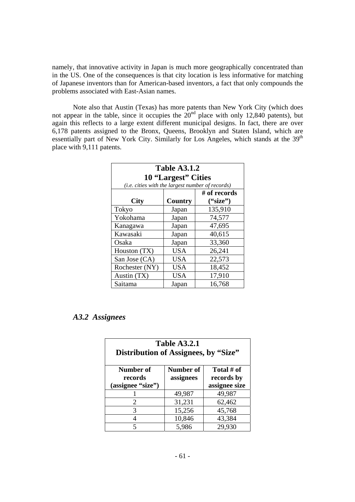namely, that innovative activity in Japan is much more geographically concentrated than in the US. One of the consequences is that city location is less informative for matching of Japanese inventors than for American-based inventors, a fact that only compounds the problems associated with East-Asian names.

Note also that Austin (Texas) has more patents than New York City (which does not appear in the table, since it occupies the  $20<sup>nd</sup>$  place with only 12,840 patents), but again this reflects to a large extent different municipal designs. In fact, there are over 6,178 patents assigned to the Bronx, Queens, Brooklyn and Staten Island, which are essentially part of New York City. Similarly for Los Angeles, which stands at the 39<sup>th</sup> place with 9,111 patents.

| <b>Table A3.1.2</b>                              |                     |              |  |  |  |
|--------------------------------------------------|---------------------|--------------|--|--|--|
|                                                  | 10 "Largest" Cities |              |  |  |  |
| (i.e. cities with the largest number of records) |                     |              |  |  |  |
|                                                  |                     | # of records |  |  |  |
| City                                             | ("size")<br>Country |              |  |  |  |
| Tokyo                                            | Japan               | 135,910      |  |  |  |
| Yokohama                                         | Japan               | 74,577       |  |  |  |
| Kanagawa                                         | Japan               | 47,695       |  |  |  |
| Kawasaki                                         | Japan               | 40,615       |  |  |  |
| Osaka                                            | Japan               | 33,360       |  |  |  |
| Houston (TX)                                     | <b>USA</b>          | 26,241       |  |  |  |
| San Jose (CA)                                    | <b>USA</b>          | 22,573       |  |  |  |
| Rochester (NY)                                   | <b>USA</b>          | 18,452       |  |  |  |
| Austin (TX)                                      | <b>USA</b>          | 17,910       |  |  |  |
| Saitama                                          | Japan               | 16,768       |  |  |  |

# *A3.2 Assignees*

| <b>Table A3.2.1</b><br>Distribution of Assignees, by "Size"                                                      |        |        |  |  |
|------------------------------------------------------------------------------------------------------------------|--------|--------|--|--|
| Number of<br>Total # of<br>Number of<br>assignees<br>records by<br>records<br>assignee size<br>(assignee "size") |        |        |  |  |
|                                                                                                                  | 49,987 | 49,987 |  |  |
| 2                                                                                                                | 31,231 | 62,462 |  |  |
| 3                                                                                                                | 15,256 | 45,768 |  |  |
|                                                                                                                  | 10,846 | 43,384 |  |  |
|                                                                                                                  | 5,986  | 29,930 |  |  |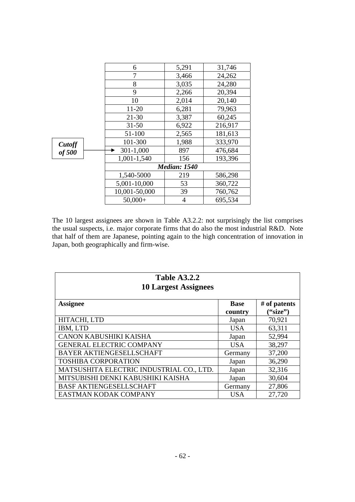|        | 6                   | 5,291 | 31,746  |
|--------|---------------------|-------|---------|
|        | 7                   | 3,466 | 24,262  |
|        | 8                   | 3,035 | 24,280  |
|        | 9                   | 2,266 | 20,394  |
|        | 10                  | 2,014 | 20,140  |
|        | $11 - 20$           | 6,281 | 79,963  |
|        | $21 - 30$           | 3,387 | 60,245  |
|        | $31 - 50$           | 6,922 | 216,917 |
|        | 51-100              | 2,565 | 181,613 |
| Cutoff | 101-300             | 1,988 | 333,970 |
| of 500 | $301 - 1,000$       | 897   | 476,684 |
|        | 1,001-1,540         | 156   | 193,396 |
|        | <b>Median: 1540</b> |       |         |
|        | 1,540-5000          | 219   | 586,298 |
|        | 5,001-10,000        | 53    | 360,722 |
|        | 10,001-50,000       | 39    | 760,762 |
|        | $50,000+$           | 4     | 695,534 |
|        |                     |       |         |

The 10 largest assignees are shown in Table A3.2.2: not surprisingly the list comprises the usual suspects, i.e. major corporate firms that do also the most industrial R&D. Note that half of them are Japanese, pointing again to the high concentration of innovation in Japan, both geographically and firm-wise.

| <b>Table A3.2.2</b><br><b>10 Largest Assignees</b> |             |              |  |  |  |  |  |
|----------------------------------------------------|-------------|--------------|--|--|--|--|--|
| <b>Assignee</b>                                    | <b>Base</b> | # of patents |  |  |  |  |  |
|                                                    | country     | ("size")     |  |  |  |  |  |
| HITACHI, LTD                                       | Japan       | 70,921       |  |  |  |  |  |
| IBM, LTD                                           | <b>USA</b>  | 63,311       |  |  |  |  |  |
| CANON KABUSHIKI KAISHA                             | Japan       | 52,994       |  |  |  |  |  |
| <b>GENERAL ELECTRIC COMPANY</b>                    | <b>USA</b>  | 38,297       |  |  |  |  |  |
| <b>BAYER AKTIENGESELLSCHAFT</b>                    | Germany     | 37,200       |  |  |  |  |  |
| <b>TOSHIBA CORPORATION</b>                         | Japan       | 36,290       |  |  |  |  |  |
| MATSUSHITA ELECTRIC INDUSTRIAL CO., LTD.           | Japan       | 32,316       |  |  |  |  |  |
| MITSUBISHI DENKI KABUSHIKI KAISHA                  | Japan       | 30,604       |  |  |  |  |  |
| <b>BASF AKTIENGESELLSCHAFT</b>                     | Germany     | 27,806       |  |  |  |  |  |
| EASTMAN KODAK COMPANY                              | <b>USA</b>  | 27,720       |  |  |  |  |  |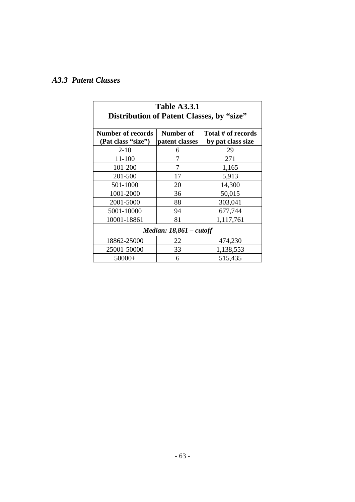# *A3.3 Patent Classes*

| <b>Table A3.3.1</b>                                                                                                      |    |           |  |  |  |  |  |
|--------------------------------------------------------------------------------------------------------------------------|----|-----------|--|--|--|--|--|
| Distribution of Patent Classes, by "size"                                                                                |    |           |  |  |  |  |  |
| <b>Number of records</b><br>Total # of records<br>Number of<br>(Pat class "size")<br>patent classes<br>by pat class size |    |           |  |  |  |  |  |
| $2 - 10$                                                                                                                 | 6  | 29        |  |  |  |  |  |
| 11-100                                                                                                                   | 7  | 271       |  |  |  |  |  |
| 101-200                                                                                                                  | 7  | 1,165     |  |  |  |  |  |
| 201-500                                                                                                                  | 17 | 5,913     |  |  |  |  |  |
| 501-1000                                                                                                                 | 20 | 14,300    |  |  |  |  |  |
| 1001-2000                                                                                                                | 36 | 50,015    |  |  |  |  |  |
| 2001-5000                                                                                                                | 88 | 303,041   |  |  |  |  |  |
| 5001-10000                                                                                                               | 94 | 677,744   |  |  |  |  |  |
| 10001-18861                                                                                                              | 81 | 1,117,761 |  |  |  |  |  |
| Median: $18,861$ – cutoff                                                                                                |    |           |  |  |  |  |  |
| 18862-25000                                                                                                              | 22 | 474,230   |  |  |  |  |  |
| 25001-50000                                                                                                              | 33 | 1,138,553 |  |  |  |  |  |
| $50000+$                                                                                                                 | 6  | 515,435   |  |  |  |  |  |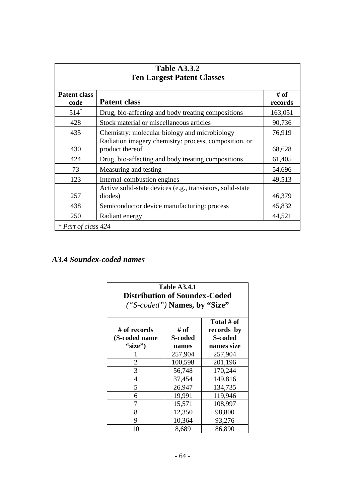| <b>Table A3.3.2</b><br><b>Ten Largest Patent Classes</b> |                                                                          |                 |  |  |  |  |
|----------------------------------------------------------|--------------------------------------------------------------------------|-----------------|--|--|--|--|
| <b>Patent class</b><br>code                              | <b>Patent class</b>                                                      | # of<br>records |  |  |  |  |
| $514*$                                                   | Drug, bio-affecting and body treating compositions                       | 163,051         |  |  |  |  |
| 428                                                      | Stock material or miscellaneous articles                                 | 90,736          |  |  |  |  |
| 435                                                      | Chemistry: molecular biology and microbiology                            | 76,919          |  |  |  |  |
| 430                                                      | Radiation imagery chemistry: process, composition, or<br>product thereof | 68,628          |  |  |  |  |
| 424                                                      | Drug, bio-affecting and body treating compositions                       | 61,405          |  |  |  |  |
| 73                                                       | Measuring and testing                                                    | 54,696          |  |  |  |  |
| 123                                                      | Internal-combustion engines                                              | 49,513          |  |  |  |  |
| 257                                                      | Active solid-state devices (e.g., transistors, solid-state<br>diodes)    | 46,379          |  |  |  |  |
| 438                                                      | Semiconductor device manufacturing: process                              | 45,832          |  |  |  |  |
| 250                                                      | Radiant energy                                                           | 44,521          |  |  |  |  |
| * Part of class 424                                      |                                                                          |                 |  |  |  |  |

# *A3.4 Soundex-coded names*

| <b>Table A3.4.1</b><br><b>Distribution of Soundex-Coded</b><br>("S-coded") <b>Names</b> , by "Size"                              |         |         |  |  |  |  |  |
|----------------------------------------------------------------------------------------------------------------------------------|---------|---------|--|--|--|--|--|
| Total # of<br># of<br># of records<br>records by<br><b>S-coded</b><br>(S-coded name<br>S-coded<br>"size")<br>names size<br>names |         |         |  |  |  |  |  |
|                                                                                                                                  | 257,904 | 257,904 |  |  |  |  |  |
| 2                                                                                                                                | 100,598 | 201,196 |  |  |  |  |  |
| 3                                                                                                                                | 56,748  | 170,244 |  |  |  |  |  |
| 4                                                                                                                                | 37,454  | 149,816 |  |  |  |  |  |
| 5                                                                                                                                | 26,947  | 134,735 |  |  |  |  |  |
| 6                                                                                                                                | 19,991  | 119,946 |  |  |  |  |  |
| 7                                                                                                                                | 15,571  | 108,997 |  |  |  |  |  |
| 8                                                                                                                                | 12,350  | 98,800  |  |  |  |  |  |
| 9                                                                                                                                | 10,364  | 93,276  |  |  |  |  |  |
| 10                                                                                                                               | 8,689   | 86,890  |  |  |  |  |  |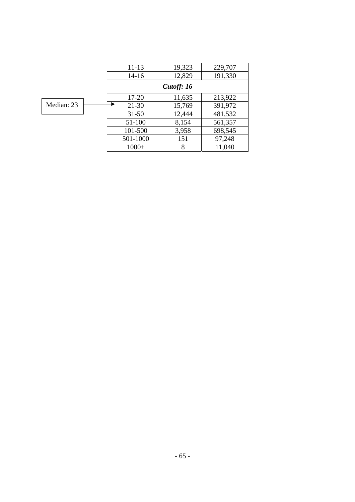|            | $11 - 13$<br>$14-16$ | 19,323<br>12,829 | 229,707<br>191,330 |  |  |
|------------|----------------------|------------------|--------------------|--|--|
|            | Cutoff: 16           |                  |                    |  |  |
|            | $17 - 20$            | 11,635           | 213,922            |  |  |
| Median: 23 | $21 - 30$            | 15,769           | 391,972            |  |  |
|            | $31 - 50$            | 12,444           | 481,532            |  |  |
|            | 51-100               | 8,154            | 561,357            |  |  |
|            | 101-500              | 3,958            | 698,545            |  |  |
|            | 501-1000             | 151              | 97,248             |  |  |
|            | $1000+$              | 8                | 11,040             |  |  |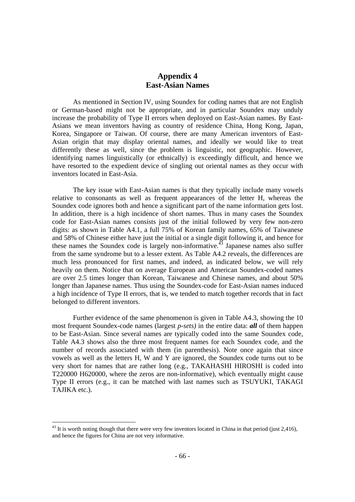# **Appendix 4 East-Asian Names**

As mentioned in Section IV, using Soundex for coding names that are not English or German-based might not be appropriate, and in particular Soundex may unduly increase the probability of Type II errors when deployed on East-Asian names. By East-Asians we mean inventors having as country of residence China, Hong Kong, Japan, Korea, Singapore or Taiwan. Of course, there are many American inventors of East-Asian origin that may display oriental names, and ideally we would like to treat differently these as well, since the problem is linguistic, not geographic. However, identifying names linguistically (or ethnically) is exceedingly difficult, and hence we have resorted to the expedient device of singling out oriental names as they occur with inventors located in East-Asia.

The key issue with East-Asian names is that they typically include many vowels relative to consonants as well as frequent appearances of the letter H, whereas the Soundex code ignores both and hence a significant part of the name information gets lost. In addition, there is a high incidence of short names. Thus in many cases the Soundex code for East-Asian names consists just of the initial followed by very few non-zero digits: as shown in Table A4.1, a full 75% of Korean family names, 65% of Taiwanese and 58% of Chinese either have just the initial or a single digit following it, and hence for these names the Soundex code is largely non-informative.<sup> $43$ </sup> Japanese names also suffer from the same syndrome but to a lesser extent. As Table A4.2 reveals, the differences are much less pronounced for first names, and indeed, as indicated below, we will rely heavily on them. Notice that on average European and American Soundex-coded names are over 2.5 times longer than Korean, Taiwanese and Chinese names, and about 50% longer than Japanese names. Thus using the Soundex-code for East-Asian names induced a high incidence of Type II errors, that is, we tended to match together records that in fact belonged to different inventors.

Further evidence of the same phenomenon is given in Table A4.3, showing the 10 most frequent Soundex-code names (largest *p-sets)* in the entire data: *all* of them happen to be East-Asian. Since several names are typically coded into the same Soundex code, Table A4.3 shows also the three most frequent names for each Soundex code, and the number of records associated with them (in parenthesis). Note once again that since vowels as well as the letters H, W and Y are ignored, the Soundex code turns out to be very short for names that are rather long (e.g., TAKAHASHI HIROSHI is coded into T220000 H620000, where the zeros are non-informative), which eventually might cause Type II errors (e.g., it can be matched with last names such as TSUYUKI, TAKAGI TAJIKA etc.).

 $43$  It is worth noting though that there were very few inventors located in China in that period (just 2,416), and hence the figures for China are not very informative.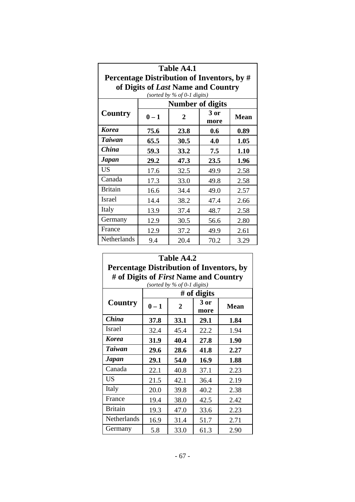| <b>Table A4.1</b>                                                                |                                                          |              |             |      |  |  |  |  |  |
|----------------------------------------------------------------------------------|----------------------------------------------------------|--------------|-------------|------|--|--|--|--|--|
| Percentage Distribution of Inventors, by #<br>of Digits of Last Name and Country |                                                          |              |             |      |  |  |  |  |  |
|                                                                                  | (sorted by $%$ of 0-1 digits)<br><b>Number of digits</b> |              |             |      |  |  |  |  |  |
| Country                                                                          | $0 - 1$                                                  | 3 or<br>more | <b>Mean</b> |      |  |  |  |  |  |
| Korea                                                                            | 75.6                                                     | 23.8         | 0.6         | 0.89 |  |  |  |  |  |
| <b>Taiwan</b>                                                                    | 65.5                                                     | 30.5         | 4.0         | 1.05 |  |  |  |  |  |
| <b>China</b>                                                                     | 59.3                                                     | 33.2         | 7.5         | 1.10 |  |  |  |  |  |
| Japan                                                                            | 29.2                                                     | 47.3         | 23.5        | 1.96 |  |  |  |  |  |
| <b>US</b>                                                                        | 17.6                                                     | 32.5         | 49.9        | 2.58 |  |  |  |  |  |
| Canada                                                                           | 17.3                                                     | 33.0         | 49.8        | 2.58 |  |  |  |  |  |
| <b>Britain</b>                                                                   | 16.6                                                     | 34.4         | 49.0        | 2.57 |  |  |  |  |  |
| <b>Israel</b>                                                                    | 14.4                                                     | 38.2         | 47.4        | 2.66 |  |  |  |  |  |
| Italy                                                                            | 13.9                                                     | 37.4         | 48.7        | 2.58 |  |  |  |  |  |
| Germany                                                                          | 12.9<br>30.5<br>2.80<br>56.6                             |              |             |      |  |  |  |  |  |
| France                                                                           | 12.9                                                     | 37.2         | 49.9        | 2.61 |  |  |  |  |  |
| Netherlands                                                                      | 9.4                                                      | 20.4         | 70.2        | 3.29 |  |  |  |  |  |

| Table A4.2<br><b>Percentage Distribution of Inventors, by</b> |                                                                               |      |             |             |  |  |  |  |
|---------------------------------------------------------------|-------------------------------------------------------------------------------|------|-------------|-------------|--|--|--|--|
|                                                               | # of Digits of <i>First</i> Name and Country<br>(sorted by $%$ of 0-1 digits) |      |             |             |  |  |  |  |
|                                                               |                                                                               |      | # of digits |             |  |  |  |  |
| Country                                                       | $0 - 1$                                                                       | 2    |             | <b>Mean</b> |  |  |  |  |
| <b>China</b>                                                  | 37.8                                                                          | 33.1 | 29.1        | 1.84        |  |  |  |  |
| Israel                                                        | 32.4                                                                          | 45.4 | 22.2        | 1.94        |  |  |  |  |
| <b>Korea</b>                                                  | 31.9                                                                          | 40.4 | 27.8        | 1.90        |  |  |  |  |
| <b>Taiwan</b>                                                 | 29.6                                                                          | 2.27 |             |             |  |  |  |  |
| <b>Japan</b>                                                  | 29.1                                                                          | 54.0 | 16.9        | 1.88        |  |  |  |  |
| Canada                                                        | 22.1                                                                          | 40.8 | 37.1        | 2.23        |  |  |  |  |
| <b>US</b>                                                     | 21.5                                                                          | 42.1 | 36.4        | 2.19        |  |  |  |  |
| Italy                                                         | 20.0                                                                          | 39.8 | 40.2        | 2.38        |  |  |  |  |
| France                                                        | 19.4                                                                          | 38.0 | 42.5        | 2.42        |  |  |  |  |
| <b>Britain</b>                                                | 19.3<br>47.0<br>33.6<br>2.23                                                  |      |             |             |  |  |  |  |
| Netherlands                                                   | 16.9                                                                          | 31.4 | 51.7        | 2.71        |  |  |  |  |
| Germany                                                       | 5.8                                                                           | 33.0 | 61.3        | 2.90        |  |  |  |  |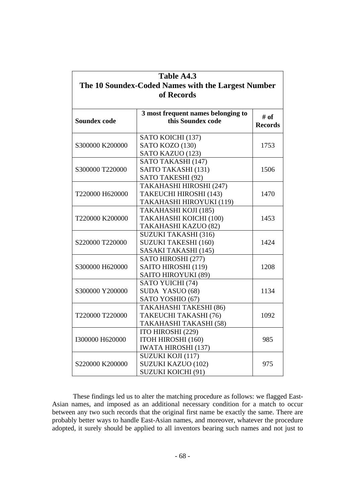| Table A4.3                                         |                                                         |                        |  |  |  |  |  |  |
|----------------------------------------------------|---------------------------------------------------------|------------------------|--|--|--|--|--|--|
| The 10 Soundex-Coded Names with the Largest Number |                                                         |                        |  |  |  |  |  |  |
|                                                    | of Records                                              |                        |  |  |  |  |  |  |
|                                                    |                                                         |                        |  |  |  |  |  |  |
| <b>Soundex code</b>                                | 3 most frequent names belonging to<br>this Soundex code | # of<br><b>Records</b> |  |  |  |  |  |  |
|                                                    | SATO KOICHI (137)                                       |                        |  |  |  |  |  |  |
| S300000 K200000                                    | SATO KOZO (130)                                         | 1753                   |  |  |  |  |  |  |
|                                                    | SATO KAZUO (123)                                        |                        |  |  |  |  |  |  |
|                                                    | SATO TAKASHI (147)                                      |                        |  |  |  |  |  |  |
| S300000 T220000                                    | SAITO TAKASHI (131)                                     | 1506                   |  |  |  |  |  |  |
|                                                    | SATO TAKESHI (92)                                       |                        |  |  |  |  |  |  |
|                                                    | TAKAHASHI HIROSHI (247)                                 |                        |  |  |  |  |  |  |
| T220000 H620000                                    | TAKEUCHI HIROSHI (143)                                  | 1470                   |  |  |  |  |  |  |
|                                                    | TAKAHASHI HIROYUKI (119)                                |                        |  |  |  |  |  |  |
|                                                    | TAKAHASHI KOJI (185)                                    |                        |  |  |  |  |  |  |
| T220000 K200000                                    | TAKAHASHI KOICHI (100)                                  | 1453                   |  |  |  |  |  |  |
|                                                    | TAKAHASHI KAZUO (82)                                    |                        |  |  |  |  |  |  |
|                                                    | <b>SUZUKI TAKASHI (316)</b>                             |                        |  |  |  |  |  |  |
| S220000 T220000                                    | <b>SUZUKI TAKESHI (160)</b>                             | 1424                   |  |  |  |  |  |  |
|                                                    | SASAKI TAKASHI (145)                                    |                        |  |  |  |  |  |  |
|                                                    | SATO HIROSHI (277)                                      |                        |  |  |  |  |  |  |
| S300000 H620000                                    | SAITO HIROSHI (119)                                     | 1208                   |  |  |  |  |  |  |
|                                                    | SAITO HIROYUKI (89)                                     |                        |  |  |  |  |  |  |
|                                                    | SATO YUICHI (74)                                        |                        |  |  |  |  |  |  |
| S300000 Y200000                                    | SUDA YASUO (68)                                         | 1134                   |  |  |  |  |  |  |
|                                                    | SATO YOSHIO (67)                                        |                        |  |  |  |  |  |  |
|                                                    | TAKAHASHI TAKESHI (86)                                  |                        |  |  |  |  |  |  |
| T220000 T220000                                    | TAKEUCHI TAKASHI (76)                                   | 1092                   |  |  |  |  |  |  |
|                                                    | TAKAHASHI TAKASHI (58)                                  |                        |  |  |  |  |  |  |
|                                                    | ITO HIROSHI (229)                                       |                        |  |  |  |  |  |  |
| I300000 H620000                                    | ITOH HIROSHI (160)                                      | 985                    |  |  |  |  |  |  |
|                                                    | <b>IWATA HIROSHI (137)</b>                              |                        |  |  |  |  |  |  |
|                                                    | SUZUKI KOJI (117)                                       |                        |  |  |  |  |  |  |
| S220000 K200000                                    | SUZUKI KAZUO (102)                                      | 975                    |  |  |  |  |  |  |
|                                                    | <b>SUZUKI KOICHI (91)</b>                               |                        |  |  |  |  |  |  |

These findings led us to alter the matching procedure as follows: we flagged East-Asian names, and imposed as an additional necessary condition for a match to occur between any two such records that the original first name be exactly the same. There are probably better ways to handle East-Asian names, and moreover, whatever the procedure adopted, it surely should be applied to all inventors bearing such names and not just to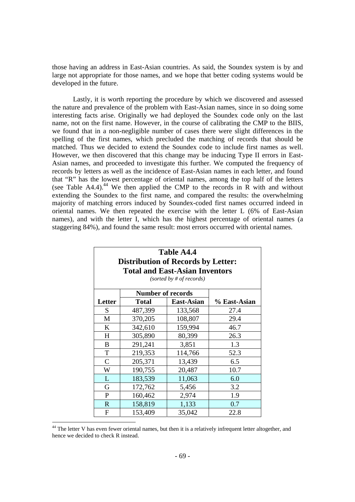those having an address in East-Asian countries. As said, the Soundex system is by and large not appropriate for those names, and we hope that better coding systems would be developed in the future.

Lastly, it is worth reporting the procedure by which we discovered and assessed the nature and prevalence of the problem with East-Asian names, since in so doing some interesting facts arise. Originally we had deployed the Soundex code only on the last name, not on the first name. However, in the course of calibrating the CMP to the BIIS, we found that in a non-negligible number of cases there were slight differences in the spelling of the first names, which precluded the matching of records that should be matched. Thus we decided to extend the Soundex code to include first names as well. However, we then discovered that this change may be inducing Type II errors in East-Asian names, and proceeded to investigate this further. We computed the frequency of records by letters as well as the incidence of East-Asian names in each letter, and found that "R" has the lowest percentage of oriental names, among the top half of the letters (see Table A4.4).<sup>44</sup> We then applied the CMP to the records in R with and without extending the Soundex to the first name, and compared the results: the overwhelming majority of matching errors induced by Soundex-coded first names occurred indeed in oriental names. We then repeated the exercise with the letter L (6% of East-Asian names), and with the letter I, which has the highest percentage of oriental names (a staggering 84%), and found the same result: most errors occurred with oriental names.

| Table A4.4<br><b>Distribution of Records by Letter:</b><br><b>Total and East-Asian Inventors</b><br>(sorted by # of records) |                          |                   |              |  |  |  |  |
|------------------------------------------------------------------------------------------------------------------------------|--------------------------|-------------------|--------------|--|--|--|--|
|                                                                                                                              | <b>Number of records</b> |                   |              |  |  |  |  |
| Letter                                                                                                                       | Total                    | <b>East-Asian</b> | % East-Asian |  |  |  |  |
| S                                                                                                                            | 487,399                  | 133,568           | 27.4         |  |  |  |  |
| M                                                                                                                            | 370,205                  | 108,807           | 29.4         |  |  |  |  |
| K                                                                                                                            | 342,610                  | 159,994           | 46.7         |  |  |  |  |
| H                                                                                                                            | 305,890                  | 80,399            | 26.3         |  |  |  |  |
| B                                                                                                                            | 291,241                  | 3,851             | 1.3          |  |  |  |  |
| T                                                                                                                            | 219,353                  | 114,766           | 52.3         |  |  |  |  |
| $\mathcal{C}$                                                                                                                | 205,371                  | 13,439            | 6.5          |  |  |  |  |
| W                                                                                                                            | 190,755                  | 20,487            | 10.7         |  |  |  |  |
| L                                                                                                                            | 183,539                  | 11,063            | 6.0          |  |  |  |  |
| G                                                                                                                            | 172,762                  | 5,456             | 3.2          |  |  |  |  |
| $\mathbf{P}$                                                                                                                 | 160,462                  | 2,974             | 1.9          |  |  |  |  |
| R                                                                                                                            | 158,819                  | 1,133             | 0.7          |  |  |  |  |
| F                                                                                                                            | 153,409                  | 35,042            | 22.8         |  |  |  |  |

<sup>&</sup>lt;sup>44</sup> The letter V has even fewer oriental names, but then it is a relatively infrequent letter altogether, and hence we decided to check R instead.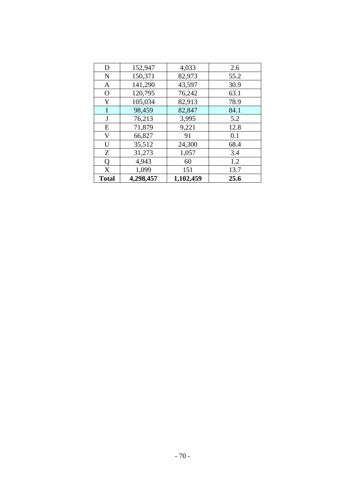| D            | 152,947   | 4,033     | 2.6  |
|--------------|-----------|-----------|------|
| N            | 150,371   | 82,973    | 55.2 |
| A            | 141,290   | 43,597    | 30.9 |
| $\mathbf{O}$ | 120,795   | 76,242    | 63.1 |
| Y            | 105,034   | 82,913    | 78.9 |
| I            | 98,459    | 82,847    | 84.1 |
| J            | 76,213    | 3,995     | 5.2  |
| E            | 71,879    | 9,221     | 12.8 |
| V            | 66,827    | 91        | 0.1  |
| U            | 35,512    | 24,300    | 68.4 |
| Ζ            | 31,273    | 1,057     | 3.4  |
| Q            | 4,943     | 60        | 1.2  |
| X            | 1,099     | 151       | 13.7 |
| <b>Total</b> | 4,298,457 | 1,102,459 | 25.6 |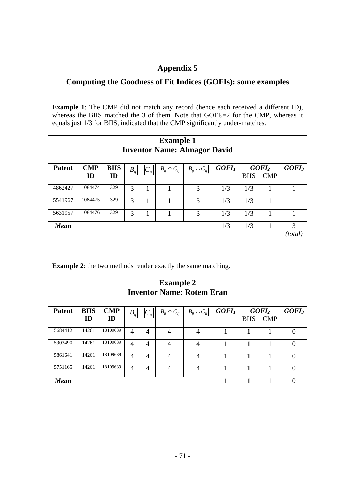# **Appendix 5**

# **Computing the Goodness of Fit Indices (GOFIs): some examples**

**Example 1**: The CMP did not match any record (hence each received a different ID), whereas the BIIS matched the 3 of them. Note that  $GOFI_2=2$  for the CMP, whereas it equals just 1/3 for BIIS, indicated that the CMP significantly under-matches.

| <b>Example 1</b><br><b>Inventor Name: Almagor David</b> |            |             |                       |                          |                                              |                                        |          |             |                   |                   |
|---------------------------------------------------------|------------|-------------|-----------------------|--------------------------|----------------------------------------------|----------------------------------------|----------|-------------|-------------------|-------------------|
| <b>Patent</b>                                           | <b>CMP</b> | <b>BIIS</b> | $\left B_{ij}\right $ | $\left C_{_{ij}}\right $ | $\left B_{_{ij}}\cap C_{_{ij}}\right \left $ | $\left B_{_{ij}}\cup C_{_{ij}}\right $ | $GOFI_I$ |             | GOFI <sub>2</sub> | GOFI <sub>3</sub> |
|                                                         | ID         | ID          |                       |                          |                                              |                                        |          | <b>BIIS</b> | <b>CMP</b>        |                   |
| 4862427                                                 | 1084474    | 329         | 3                     |                          |                                              | 3                                      | 1/3      | 1/3         |                   |                   |
| 5541967                                                 | 1084475    | 329         | 3                     |                          |                                              | 3                                      | 1/3      | 1/3         |                   |                   |
| 5631957                                                 | 1084476    | 329         | 3                     |                          |                                              | 3                                      | 1/3      | 1/3         |                   |                   |
| <b>Mean</b>                                             |            |             |                       |                          |                                              |                                        | 1/3      | 1/3         |                   | 3                 |
|                                                         |            |             |                       |                          |                                              |                                        |          |             |                   | 'total            |

**Example 2**: the two methods render exactly the same matching.

| <b>Example 2</b><br><b>Inventor Name: Rotem Eran</b> |             |            |          |                       |                                  |                                        |                   |             |                   |                   |
|------------------------------------------------------|-------------|------------|----------|-----------------------|----------------------------------|----------------------------------------|-------------------|-------------|-------------------|-------------------|
| <b>Patent</b>                                        | <b>BIIS</b> | <b>CMP</b> | $B_{ij}$ | $\left C_{ij}\right $ | $\left B_{ij}\cap C_{ij}\right $ | $\left B_{_{ij}}\cup C_{_{ij}}\right $ | GOFI <sub>I</sub> |             | GOFI <sub>2</sub> | GOFI <sub>3</sub> |
|                                                      | ID          | ID         |          |                       |                                  |                                        |                   | <b>BIIS</b> | <b>CMP</b>        |                   |
| 5684412                                              | 14261       | 18109639   | 4        | 4                     | $\overline{4}$                   | $\overline{4}$                         |                   |             |                   | ∩                 |
| 5903490                                              | 14261       | 18109639   | 4        | 4                     | $\overline{4}$                   | 4                                      |                   | 1           |                   | $\Omega$          |
| 5861641                                              | 14261       | 18109639   | 4        | 4                     | $\overline{4}$                   | $\overline{4}$                         |                   | 1           | 1                 | $\Omega$          |
| 5751165                                              | 14261       | 18109639   | 4        | 4                     | $\overline{4}$                   | 4                                      |                   |             |                   | 0                 |
| <b>Mean</b>                                          |             |            |          |                       |                                  |                                        |                   |             |                   |                   |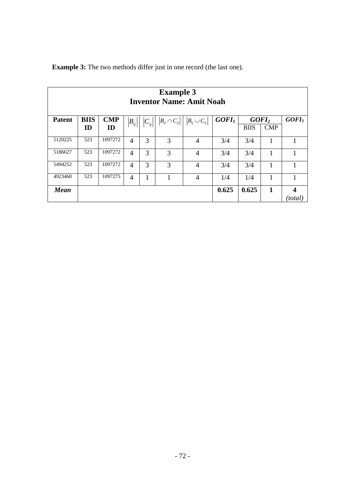| <b>Example 3</b><br><b>Inventor Name: Amit Noah</b> |             |            |          |   |                                        |                      |                   |                   |            |                             |
|-----------------------------------------------------|-------------|------------|----------|---|----------------------------------------|----------------------|-------------------|-------------------|------------|-----------------------------|
| <b>Patent</b>                                       | <b>BIIS</b> | <b>CMP</b> | $B_{ij}$ |   | $\left B_{_{ij}}\cap C_{_{ij}}\right $ | $B_{ij} \cup C_{ij}$ | GOFI <sub>1</sub> | GOFI <sub>2</sub> |            | GOFI <sub>3</sub>           |
|                                                     | ID          | ID         |          |   |                                        |                      |                   | <b>BIIS</b>       | <b>CMP</b> |                             |
| 5120225                                             | 523         | 1097272    | 4        | 3 | 3                                      | $\overline{4}$       | 3/4               | 3/4               | 1          |                             |
| 5186627                                             | 523         | 1097272    | 4        | 3 | 3                                      | 4                    | 3/4               | 3/4               | 1          | 1                           |
| 5494252                                             | 523         | 1097272    | 4        | 3 | 3                                      | 4                    | 3/4               | 3/4               | 1          |                             |
| 4923460                                             | 523         | 1097275    | 4        | 1 |                                        | 4                    | 1/4               | 1/4               | 1          |                             |
| <b>Mean</b>                                         |             |            |          |   |                                        |                      | 0.625             | 0.625             | 1          | $\boldsymbol{4}$<br>(total) |

**Example 3:** The two methods differ just in one record (the last one).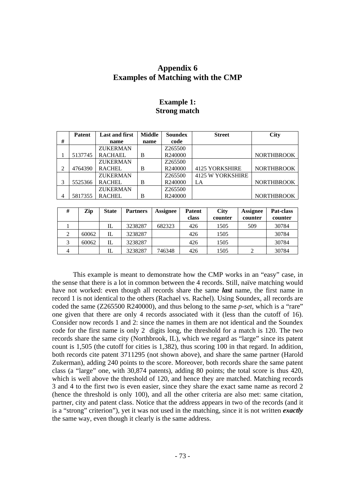## **Appendix 6 Examples of Matching with the CMP**

## **Example 1: Strong match**

|                | <b>Patent</b> | <b>Last and first</b> | <b>Middle</b> | <b>Soundex</b> | <b>Street</b>         | <b>City</b>       |
|----------------|---------------|-----------------------|---------------|----------------|-----------------------|-------------------|
| #              |               | name                  | name          | code           |                       |                   |
|                |               | <b>ZUKERMAN</b>       |               | Z265500        |                       |                   |
|                | 5137745       | <b>RACHAEL</b>        | B             | R240000        |                       | <b>NORTHBROOK</b> |
|                |               | <b>ZUKERMAN</b>       |               | Z265500        |                       |                   |
| 2              | 4764390       | <b>RACHEL</b>         | B             | R240000        | <b>4125 YORKSHIRE</b> | <b>NORTHBROOK</b> |
|                |               | <b>ZUKERMAN</b>       |               | Z265500        | 4125 W YORKSHIRE      |                   |
| 3              | 5525366       | <b>RACHEL</b>         | B             | R240000        | LA                    | <b>NORTHBROOK</b> |
|                |               | <b>ZUKERMAN</b>       |               | Z265500        |                       |                   |
| $\overline{4}$ | 5817355       | <b>RACHEL</b>         | B             | R240000        |                       | <b>NORTHBROOK</b> |

| #        | Zip   | <b>State</b> | <b>Partners</b> | <b>Assignee</b> | <b>Patent</b><br>class | <b>City</b><br>counter | Assignee<br>counter | <b>Pat-class</b><br>counter |
|----------|-------|--------------|-----------------|-----------------|------------------------|------------------------|---------------------|-----------------------------|
|          |       | IL           | 3238287         | 682323          | 426                    | 1505                   | 509                 | 30784                       |
| $\gamma$ | 60062 | IL           | 3238287         |                 | 426                    | 1505                   |                     | 30784                       |
| 3        | 60062 | IL           | 3238287         |                 | 426                    | 1505                   |                     | 30784                       |
| 4        |       | IL           | 3238287         | 746348          | 426                    | 1505                   |                     | 30784                       |

This example is meant to demonstrate how the CMP works in an "easy" case, in the sense that there is a lot in common between the 4 records. Still, naïve matching would have not worked: even though all records share the same *last* name, the first name in record 1 is not identical to the others (Rachael vs. Rachel). Using Soundex, all records are coded the same (Z265500 R240000), and thus belong to the same *p-set,* which is a "rare" one given that there are only 4 records associated with it (less than the cutoff of 16). Consider now records 1 and 2: since the names in them are not identical and the Soundex code for the first name is only 2 digits long, the threshold for a match is 120. The two records share the same city (Northbrook, IL), which we regard as "large" since its patent count is 1,505 (the cutoff for cities is 1,382), thus scoring 100 in that regard. In addition, both records cite patent 3711295 (not shown above), and share the same partner (Harold Zukerman), adding 240 points to the score. Moreover, both records share the same patent class (a "large" one, with 30,874 patents), adding 80 points; the total score is thus 420, which is well above the threshold of 120, and hence they are matched. Matching records 3 and 4 to the first two is even easier, since they share the exact same name as record 2 (hence the threshold is only 100), and all the other criteria are also met: same citation, partner, city and patent class. Notice that the address appears in two of the records (and it is a "strong" criterion"), yet it was not used in the matching, since it is not written *exactly* the same way, even though it clearly is the same address.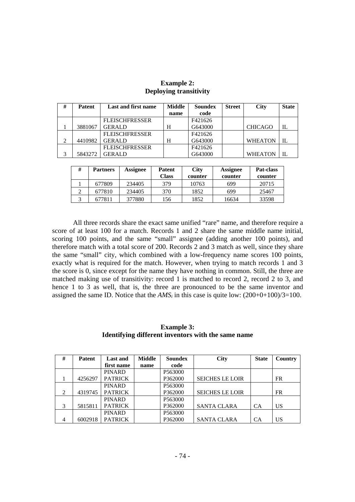| # | <b>Patent</b> | Last and first name   | <b>Middle</b> | Soundex | <b>Street</b> | <b>City</b>    | <b>State</b> |
|---|---------------|-----------------------|---------------|---------|---------------|----------------|--------------|
|   |               |                       | name          | code    |               |                |              |
|   |               | <b>FLEISCHFRESSER</b> |               | F421626 |               |                |              |
|   | 3881067       | <b>GERALD</b>         | H             | G643000 |               | <b>CHICAGO</b> | IL           |
|   |               | <b>FLEISCHFRESSER</b> |               | F421626 |               |                |              |
| C | 4410982       | <b>GERALD</b>         | H             | G643000 |               | <b>WHEATON</b> | IL           |
|   |               | <b>FLEISCHFRESSER</b> |               | F421626 |               |                |              |
| 2 | 5843272       | <b>GERALD</b>         |               | G643000 |               | <b>WHEATON</b> | IL           |

## **Example 2: Deploying transitivity**

| # | <b>Partners</b> | <b>Assignee</b> | Patent<br>Class | <b>City</b><br>counter | <b>Assignee</b><br>counter | <b>Pat-class</b><br>counter |
|---|-----------------|-----------------|-----------------|------------------------|----------------------------|-----------------------------|
|   | 677809          | 234405          | 379             | 10763                  | 699                        | 20715                       |
|   | 677810          | 234405          | 370             | 1852                   | 699                        | 25467                       |
|   | 677811          | 377880          | 156             | 1852                   | 16634                      | 33598                       |

All three records share the exact same unified "rare" name, and therefore require a score of at least 100 for a match. Records 1 and 2 share the same middle name initial, scoring 100 points, and the same "small" assignee (adding another 100 points), and therefore match with a total score of 200. Records 2 and 3 match as well, since they share the same "small" city, which combined with a low-frequency name scores 100 points, exactly what is required for the match. However, when trying to match records 1 and 3 the score is 0, since except for the name they have nothing in common. Still, the three are matched making use of transitivity: record 1 is matched to record 2, record 2 to 3, and hence 1 to 3 as well, that is, the three are pronounced to be the same inventor and assigned the same ID. Notice that the  $AMS<sub>i</sub>$  in this case is quite low:  $(200+0+100)/3=100$ .

## **Example 3: Identifying different inventors with the same name**

| #              | <b>Patent</b> | <b>Last and</b> | <b>Middle</b> | <b>Soundex</b> | <b>City</b>            | <b>State</b> | <b>Country</b> |
|----------------|---------------|-----------------|---------------|----------------|------------------------|--------------|----------------|
|                |               | first name      | name          | code           |                        |              |                |
|                |               | <b>PINARD</b>   |               | P563000        |                        |              |                |
|                | 4256297       | <b>PATRICK</b>  |               | P362000        | <b>SEICHES LE LOIR</b> |              | <b>FR</b>      |
|                |               | <b>PINARD</b>   |               | P563000        |                        |              |                |
| 2              | 4319745       | <b>PATRICK</b>  |               | P362000        | <b>SEICHES LE LOIR</b> |              | <b>FR</b>      |
|                |               | <b>PINARD</b>   |               | P563000        |                        |              |                |
| 3              | 5815811       | <b>PATRICK</b>  |               | P362000        | <b>SANTA CLARA</b>     | <b>CA</b>    | US             |
|                |               | <b>PINARD</b>   |               | P563000        |                        |              |                |
| $\overline{4}$ | 6002918       | <b>PATRICK</b>  |               | P362000        | <b>SANTA CLARA</b>     | CА           | US             |